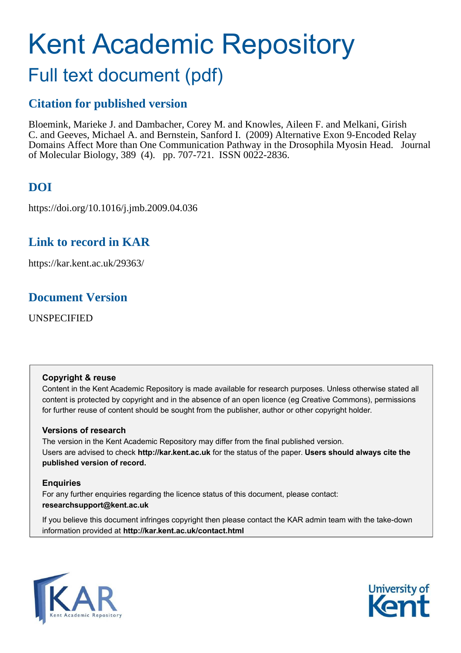# Kent Academic Repository

## Full text document (pdf)

## **Citation for published version**

Bloemink, Marieke J. and Dambacher, Corey M. and Knowles, Aileen F. and Melkani, Girish C. and Geeves, Michael A. and Bernstein, Sanford I. (2009) Alternative Exon 9-Encoded Relay Domains Affect More than One Communication Pathway in the Drosophila Myosin Head. Journal of Molecular Biology, 389 (4). pp. 707-721. ISSN 0022-2836.

## **DOI**

https://doi.org/10.1016/j.jmb.2009.04.036

## **Link to record in KAR**

https://kar.kent.ac.uk/29363/

## **Document Version**

UNSPECIFIED

#### **Copyright & reuse**

Content in the Kent Academic Repository is made available for research purposes. Unless otherwise stated all content is protected by copyright and in the absence of an open licence (eg Creative Commons), permissions for further reuse of content should be sought from the publisher, author or other copyright holder.

#### **Versions of research**

The version in the Kent Academic Repository may differ from the final published version. Users are advised to check **http://kar.kent.ac.uk** for the status of the paper. **Users should always cite the published version of record.**

#### **Enquiries**

For any further enquiries regarding the licence status of this document, please contact: **researchsupport@kent.ac.uk**

If you believe this document infringes copyright then please contact the KAR admin team with the take-down information provided at **http://kar.kent.ac.uk/contact.html**



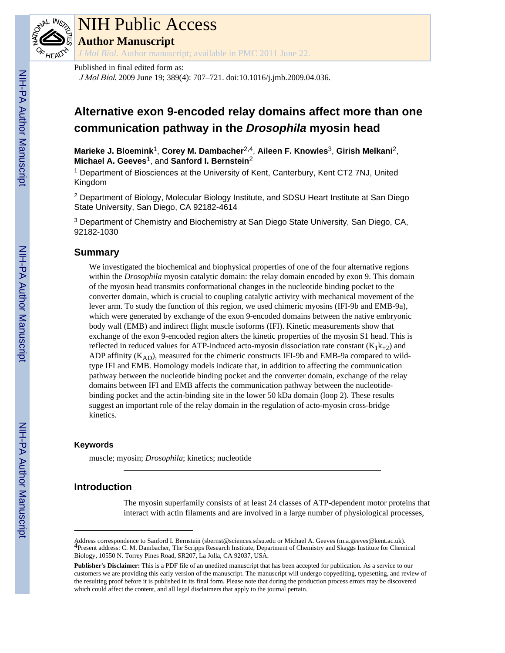

## NIH Public Access

**Author Manuscript**

*J Mol Biol*. Author manuscript; available in PMC 2011 June 22.

#### Published in final edited form as:

J Mol Biol. 2009 June 19; 389(4): 707–721. doi:10.1016/j.jmb.2009.04.036.

### **Alternative exon 9-encoded relay domains affect more than one communication pathway in the Drosophila myosin head**

**Marieke J. Bloemink**1, **Corey M. Dambacher**2,4, **Aileen F. Knowles**3, **Girish Melkani**2, **Michael A. Geeves**1, and **Sanford I. Bernstein**<sup>2</sup>

<sup>1</sup> Department of Biosciences at the University of Kent, Canterbury, Kent CT2 7NJ, United Kingdom

<sup>2</sup> Department of Biology, Molecular Biology Institute, and SDSU Heart Institute at San Diego State University, San Diego, CA 92182-4614

<sup>3</sup> Department of Chemistry and Biochemistry at San Diego State University, San Diego, CA, 92182-1030

#### **Summary**

We investigated the biochemical and biophysical properties of one of the four alternative regions within the *Drosophila* myosin catalytic domain: the relay domain encoded by exon 9. This domain of the myosin head transmits conformational changes in the nucleotide binding pocket to the converter domain, which is crucial to coupling catalytic activity with mechanical movement of the lever arm. To study the function of this region, we used chimeric myosins (IFI-9b and EMB-9a), which were generated by exchange of the exon 9-encoded domains between the native embryonic body wall (EMB) and indirect flight muscle isoforms (IFI). Kinetic measurements show that exchange of the exon 9-encoded region alters the kinetic properties of the myosin S1 head. This is reflected in reduced values for ATP-induced acto-myosin dissociation rate constant  $(K_1k_{+2})$  and ADP affinity  $(K_{AD})$ , measured for the chimeric constructs IFI-9b and EMB-9a compared to wildtype IFI and EMB. Homology models indicate that, in addition to affecting the communication pathway between the nucleotide binding pocket and the converter domain, exchange of the relay domains between IFI and EMB affects the communication pathway between the nucleotidebinding pocket and the actin-binding site in the lower 50 kDa domain (loop 2). These results suggest an important role of the relay domain in the regulation of acto-myosin cross-bridge kinetics.

#### **Keywords**

muscle; myosin; *Drosophila*; kinetics; nucleotide

#### **Introduction**

The myosin superfamily consists of at least 24 classes of ATP-dependent motor proteins that interact with actin filaments and are involved in a large number of physiological processes,

Address correspondence to Sanford I. Bernstein (sbernst@sciences.sdsu.edu or Michael A. Geeves (m.a.geeves@kent.ac.uk).<br><sup>4</sup>Present address: C. M. Dambacher, The Scripps Research Institute, Department of Chemistry and Skagg Biology, 10550 N. Torrey Pines Road, SR207, La Jolla, CA 92037, USA.

**Publisher's Disclaimer:** This is a PDF file of an unedited manuscript that has been accepted for publication. As a service to our customers we are providing this early version of the manuscript. The manuscript will undergo copyediting, typesetting, and review of the resulting proof before it is published in its final form. Please note that during the production process errors may be discovered which could affect the content, and all legal disclaimers that apply to the journal pertain.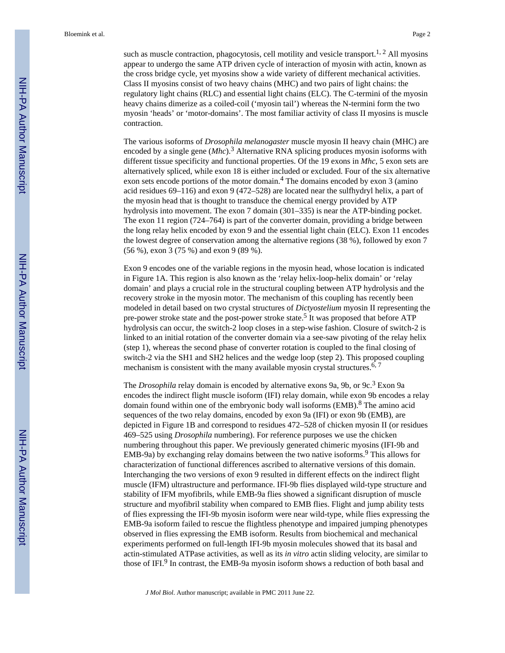such as muscle contraction, phagocytosis, cell motility and vesicle transport.<sup>1, 2</sup> All myosins appear to undergo the same ATP driven cycle of interaction of myosin with actin, known as the cross bridge cycle, yet myosins show a wide variety of different mechanical activities. Class II myosins consist of two heavy chains (MHC) and two pairs of light chains: the regulatory light chains (RLC) and essential light chains (ELC). The C-termini of the myosin heavy chains dimerize as a coiled-coil ('myosin tail') whereas the N-termini form the two myosin 'heads' or 'motor-domains'. The most familiar activity of class II myosins is muscle contraction.

The various isoforms of *Drosophila melanogaster* muscle myosin II heavy chain (MHC) are encoded by a single gene (*Mhc*).<sup>3</sup> Alternative RNA splicing produces myosin isoforms with different tissue specificity and functional properties. Of the 19 exons in *Mhc*, 5 exon sets are alternatively spliced, while exon 18 is either included or excluded. Four of the six alternative exon sets encode portions of the motor domain.<sup>4</sup> The domains encoded by exon 3 (amino acid residues 69–116) and exon 9 (472–528) are located near the sulfhydryl helix, a part of the myosin head that is thought to transduce the chemical energy provided by ATP hydrolysis into movement. The exon 7 domain (301–335) is near the ATP-binding pocket. The exon 11 region (724–764) is part of the converter domain, providing a bridge between the long relay helix encoded by exon 9 and the essential light chain (ELC). Exon 11 encodes the lowest degree of conservation among the alternative regions (38 %), followed by exon 7 (56 %), exon 3 (75 %) and exon 9 (89 %).

Exon 9 encodes one of the variable regions in the myosin head, whose location is indicated in Figure 1A. This region is also known as the 'relay helix-loop-helix domain' or 'relay domain' and plays a crucial role in the structural coupling between ATP hydrolysis and the recovery stroke in the myosin motor. The mechanism of this coupling has recently been modeled in detail based on two crystal structures of *Dictyostelium* myosin II representing the pre-power stroke state and the post-power stroke state.<sup>5</sup> It was proposed that before ATP hydrolysis can occur, the switch-2 loop closes in a step-wise fashion. Closure of switch-2 is linked to an initial rotation of the converter domain via a see-saw pivoting of the relay helix (step 1), whereas the second phase of converter rotation is coupled to the final closing of switch-2 via the SH1 and SH2 helices and the wedge loop (step 2). This proposed coupling mechanism is consistent with the many available myosin crystal structures.<sup>6, 7</sup>

The *Drosophila* relay domain is encoded by alternative exons 9a, 9b, or 9c.<sup>3</sup> Exon 9a encodes the indirect flight muscle isoform (IFI) relay domain, while exon 9b encodes a relay domain found within one of the embryonic body wall isoforms (EMB). <sup>8</sup> The amino acid sequences of the two relay domains, encoded by exon 9a (IFI) or exon 9b (EMB), are depicted in Figure 1B and correspond to residues 472–528 of chicken myosin II (or residues 469–525 using *Drosophila* numbering). For reference purposes we use the chicken numbering throughout this paper. We previously generated chimeric myosins (IFI-9b and EMB-9a) by exchanging relay domains between the two native isoforms.<sup>9</sup> This allows for characterization of functional differences ascribed to alternative versions of this domain. Interchanging the two versions of exon 9 resulted in different effects on the indirect flight muscle (IFM) ultrastructure and performance. IFI-9b flies displayed wild-type structure and stability of IFM myofibrils, while EMB-9a flies showed a significant disruption of muscle structure and myofibril stability when compared to EMB flies. Flight and jump ability tests of flies expressing the IFI-9b myosin isoform were near wild-type, while flies expressing the EMB-9a isoform failed to rescue the flightless phenotype and impaired jumping phenotypes observed in flies expressing the EMB isoform. Results from biochemical and mechanical experiments performed on full-length IFI-9b myosin molecules showed that its basal and actin-stimulated ATPase activities, as well as its *in vitro* actin sliding velocity, are similar to those of IFI.<sup>9</sup> In contrast, the EMB-9a myosin isoform shows a reduction of both basal and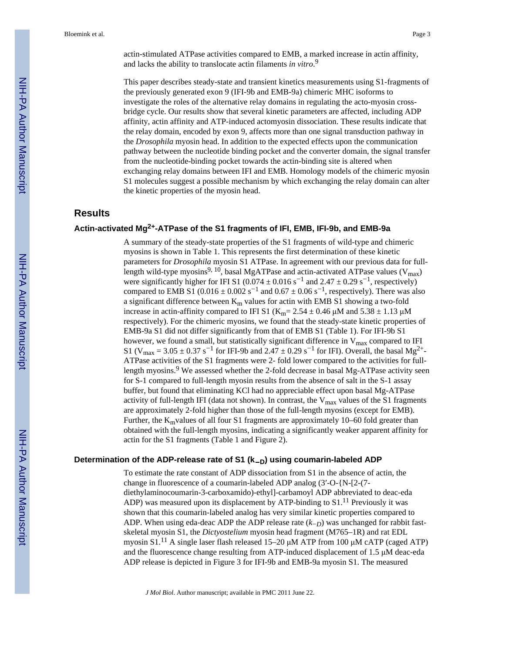actin-stimulated ATPase activities compared to EMB, a marked increase in actin affinity, and lacks the ability to translocate actin filaments *in vitro*. 9

This paper describes steady-state and transient kinetics measurements using S1-fragments of the previously generated exon 9 (IFI-9b and EMB-9a) chimeric MHC isoforms to investigate the roles of the alternative relay domains in regulating the acto-myosin crossbridge cycle. Our results show that several kinetic parameters are affected, including ADP affinity, actin affinity and ATP-induced actomyosin dissociation. These results indicate that the relay domain, encoded by exon 9, affects more than one signal transduction pathway in the *Drosophila* myosin head. In addition to the expected effects upon the communication pathway between the nucleotide binding pocket and the converter domain, the signal transfer from the nucleotide-binding pocket towards the actin-binding site is altered when exchanging relay domains between IFI and EMB. Homology models of the chimeric myosin S1 molecules suggest a possible mechanism by which exchanging the relay domain can alter the kinetic properties of the myosin head.

#### **Results**

#### **Actin-activated Mg2+-ATPase of the S1 fragments of IFI, EMB, IFI-9b, and EMB-9a**

A summary of the steady-state properties of the S1 fragments of wild-type and chimeric myosins is shown in Table 1. This represents the first determination of these kinetic parameters for *Drosophila* myosin S1 ATPase. In agreement with our previous data for fulllength wild-type myosins<sup>9, 10</sup>, basal MgATPase and actin-activated ATPase values (V<sub>max</sub>) were significantly higher for IFI S1 (0.074  $\pm$  0.016 s<sup>-1</sup> and 2.47  $\pm$  0.29 s<sup>-1</sup>, respectively) compared to EMB S1 (0.016  $\pm$  0.002 s<sup>-1</sup> and 0.67  $\pm$  0.06 s<sup>-1</sup>, respectively). There was also a significant difference between  $K_m$  values for actin with EMB S1 showing a two-fold increase in actin-affinity compared to IFI S1 (K<sub>m</sub>= 2.54  $\pm$  0.46  $\mu$ M and 5.38  $\pm$  1.13  $\mu$ M respectively). For the chimeric myosins, we found that the steady-state kinetic properties of EMB-9a S1 did not differ significantly from that of EMB S1 (Table 1). For IFI-9b S1 however, we found a small, but statistically significant difference in  $V_{\text{max}}$  compared to IFI S1 (V<sub>max</sub> = 3.05  $\pm$  0.37 s<sup>-1</sup> for IFI-9b and 2.47  $\pm$  0.29 s<sup>-1</sup> for IFI). Overall, the basal Mg<sup>2+</sup>-ATPase activities of the S1 fragments were 2- fold lower compared to the activities for fulllength myosins.<sup>9</sup> We assessed whether the 2-fold decrease in basal Mg-ATPase activity seen for S-1 compared to full-length myosin results from the absence of salt in the S-1 assay buffer, but found that eliminating KCl had no appreciable effect upon basal Mg-ATPase activity of full-length IFI (data not shown). In contrast, the  $V_{\text{max}}$  values of the S1 fragments are approximately 2-fold higher than those of the full-length myosins (except for EMB). Further, the  $K<sub>m</sub>$ values of all four S1 fragments are approximately 10–60 fold greater than obtained with the full-length myosins, indicating a significantly weaker apparent affinity for actin for the S1 fragments (Table 1 and Figure 2).

#### **Determination of the ADP-release rate of S1 (k**−**D) using coumarin-labeled ADP**

To estimate the rate constant of ADP dissociation from S1 in the absence of actin, the change in fluorescence of a coumarin-labeled ADP analog  $(3'-O-\{N-[2-(7-\epsilon_1]^2\})$ diethylaminocoumarin-3-carboxamido)-ethyl]-carbamoyl ADP abbreviated to deac-eda ADP) was measured upon its displacement by ATP-binding to  $S1<sup>11</sup>$  Previously it was shown that this coumarin-labeled analog has very similar kinetic properties compared to ADP. When using eda-deac ADP the ADP release rate  $(k<sub>-D</sub>)$  was unchanged for rabbit fastskeletal myosin S1, the *Dictyostelium* myosin head fragment (M765–1R) and rat EDL myosin  $S1$ .<sup>11</sup> A single laser flash released 15–20  $\mu$ M ATP from 100  $\mu$ M cATP (caged ATP) and the fluorescence change resulting from ATP-induced displacement of  $1.5 \mu M$  deac-eda ADP release is depicted in Figure 3 for IFI-9b and EMB-9a myosin S1. The measured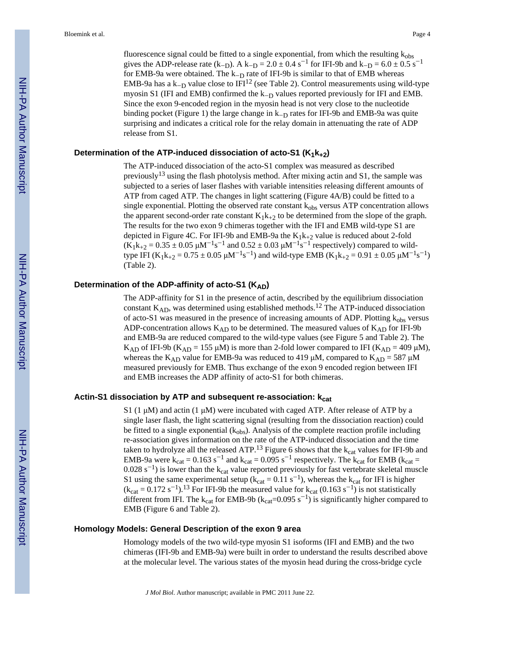fluorescence signal could be fitted to a single exponential, from which the resulting  $k_{obs}$ gives the ADP-release rate (k<sub>-D</sub>). A k<sub>-D</sub> = 2.0  $\pm$  0.4 s<sup>-1</sup> for IFI-9b and k<sub>-D</sub> = 6.0  $\pm$  0.5 s<sup>-1</sup> for EMB-9a were obtained. The  $k-p$  rate of IFI-9b is similar to that of EMB whereas EMB-9a has a k $_{\text{D}}$  value close to IFI<sup>12</sup> (see Table 2). Control measurements using wild-type myosin S1 (IFI and EMB) confirmed the  $k_{-D}$  values reported previously for IFI and EMB. Since the exon 9-encoded region in the myosin head is not very close to the nucleotide binding pocket (Figure 1) the large change in  $k_{-D}$  rates for IFI-9b and EMB-9a was quite surprising and indicates a critical role for the relay domain in attenuating the rate of ADP release from S1.

#### **Determination of the ATP-induced dissociation of acto-S1 (K1k+2)**

The ATP-induced dissociation of the acto-S1 complex was measured as described previously<sup>13</sup> using the flash photolysis method. After mixing actin and S1, the sample was subjected to a series of laser flashes with variable intensities releasing different amounts of ATP from caged ATP. The changes in light scattering (Figure 4A/B) could be fitted to a single exponential. Plotting the observed rate constant  $k_{obs}$  versus ATP concentration allows the apparent second-order rate constant  $K_1k_{+2}$  to be determined from the slope of the graph. The results for the two exon 9 chimeras together with the IFI and EMB wild-type S1 are depicted in Figure 4C. For IFI-9b and EMB-9a the  $K_1k_{+2}$  value is reduced about 2-fold  $(K_1k_{+2} = 0.35 \pm 0.05 \mu M^{-1}s^{-1}$  and  $0.52 \pm 0.03 \mu M^{-1}s^{-1}$  respectively) compared to wildtype IFI (K<sub>1</sub>k<sub>+2</sub> = 0.75 ± 0.05  $\mu$ M<sup>-1</sup>s<sup>-1</sup>) and wild-type EMB (K<sub>1</sub>k<sub>+2</sub> = 0.91 ± 0.05  $\mu$ M<sup>-1</sup>s<sup>-1</sup>) (Table 2).

#### Determination of the ADP-affinity of acto-S1 (K<sub>AD</sub>)

The ADP-affinity for S1 in the presence of actin, described by the equilibrium dissociation constant KAD, was determined using established methods.12 The ATP-induced dissociation of acto-S1 was measured in the presence of increasing amounts of ADP. Plotting  $k_{obs}$  versus ADP-concentration allows  $K_{AD}$  to be determined. The measured values of  $K_{AD}$  for IFI-9b and EMB-9a are reduced compared to the wild-type values (see Figure 5 and Table 2). The K<sub>AD</sub> of IFI-9b (K<sub>AD</sub> = 155 µM) is more than 2-fold lower compared to IFI (K<sub>AD</sub> = 409 µM), whereas the K<sub>AD</sub> value for EMB-9a was reduced to 419  $\mu$ M, compared to K<sub>AD</sub> = 587  $\mu$ M measured previously for EMB. Thus exchange of the exon 9 encoded region between IFI and EMB increases the ADP affinity of acto-S1 for both chimeras.

#### **Actin-S1 dissociation by ATP and subsequent re-association: kcat**

S1 (1  $\mu$ M) and actin (1  $\mu$ M) were incubated with caged ATP. After release of ATP by a single laser flash, the light scattering signal (resulting from the dissociation reaction) could be fitted to a single exponential  $(k_{obs})$ . Analysis of the complete reaction profile including re-association gives information on the rate of the ATP-induced dissociation and the time taken to hydrolyze all the released ATP.<sup>13</sup> Figure 6 shows that the  $k_{cat}$  values for IFI-9b and EMB-9a were  $k_{cat} = 0.163 s^{-1}$  and  $k_{cat} = 0.095 s^{-1}$  respectively. The  $k_{cat}$  for EMB ( $k_{cat}$  =  $0.028$  s<sup>-1</sup>) is lower than the k<sub>cat</sub> value reported previously for fast vertebrate skeletal muscle S1 using the same experimental setup ( $k_{cat} = 0.11 s^{-1}$ ), whereas the  $k_{cat}$  for IFI is higher  $(k_{cat} = 0.172 s^{-1})$ .<sup>13</sup> For IFI-9b the measured value for  $k_{cat}$  (0.163 s<sup>-1</sup>) is not statistically different from IFI. The  $k_{cat}$  for EMB-9b ( $k_{cat}$ =0.095 s<sup>-1</sup>) is significantly higher compared to EMB (Figure 6 and Table 2).

#### **Homology Models: General Description of the exon 9 area**

Homology models of the two wild-type myosin S1 isoforms (IFI and EMB) and the two chimeras (IFI-9b and EMB-9a) were built in order to understand the results described above at the molecular level. The various states of the myosin head during the cross-bridge cycle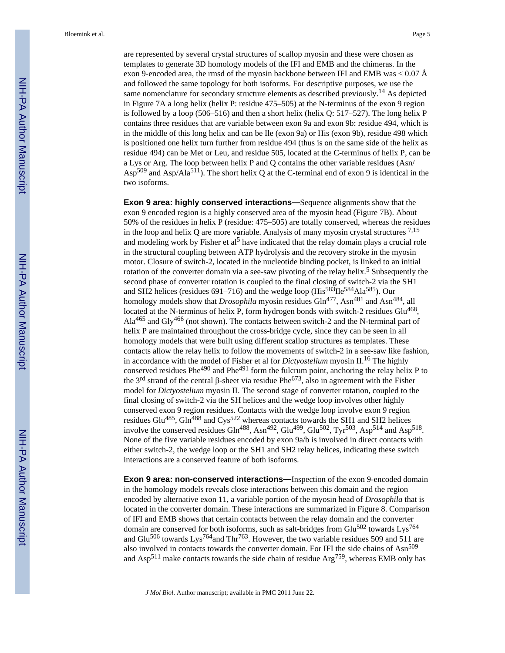are represented by several crystal structures of scallop myosin and these were chosen as templates to generate 3D homology models of the IFI and EMB and the chimeras. In the exon 9-encoded area, the rmsd of the myosin backbone between IFI and EMB was  $< 0.07 \text{ Å}$ and followed the same topology for both isoforms. For descriptive purposes, we use the same nomenclature for secondary structure elements as described previously.<sup>14</sup> As depicted in Figure 7A a long helix (helix P: residue 475–505) at the N-terminus of the exon 9 region is followed by a loop (506–516) and then a short helix (helix Q: 517–527). The long helix P contains three residues that are variable between exon 9a and exon 9b: residue 494, which is in the middle of this long helix and can be Ile (exon 9a) or His (exon 9b), residue 498 which is positioned one helix turn further from residue 494 (thus is on the same side of the helix as residue 494) can be Met or Leu, and residue 505, located at the C-terminus of helix P, can be a Lys or Arg. The loop between helix P and Q contains the other variable residues (Asn/ Asp<sup>509</sup> and Asp/Ala<sup>511</sup>). The short helix Q at the C-terminal end of exon 9 is identical in the two isoforms.

**Exon 9 area: highly conserved interactions—**Sequence alignments show that the exon 9 encoded region is a highly conserved area of the myosin head (Figure 7B). About 50% of the residues in helix P (residue: 475–505) are totally conserved, whereas the residues in the loop and helix Q are more variable. Analysis of many myosin crystal structures  $^{7,15}$ and modeling work by Fisher et al<sup>5</sup> have indicated that the relay domain plays a crucial role in the structural coupling between ATP hydrolysis and the recovery stroke in the myosin motor. Closure of switch-2, located in the nucleotide binding pocket, is linked to an initial rotation of the converter domain via a see-saw pivoting of the relay helix.<sup>5</sup> Subsequently the second phase of converter rotation is coupled to the final closing of switch-2 via the SH1 and SH2 helices (residues 691–716) and the wedge loop ( $His^{583}He^{584}Ala^{585}$ ). Our homology models show that *Drosophila* myosin residues Gln<sup>477</sup>, Asn<sup>481</sup> and Asn<sup>484</sup>, all located at the N-terminus of helix P, form hydrogen bonds with switch-2 residues Glu<sup>468</sup>, Ala<sup>465</sup> and Gly<sup>466</sup> (not shown). The contacts between switch-2 and the N-terminal part of helix P are maintained throughout the cross-bridge cycle, since they can be seen in all homology models that were built using different scallop structures as templates. These contacts allow the relay helix to follow the movements of switch-2 in a see-saw like fashion, in accordance with the model of Fisher et al for *Dictyostelium* myosin II.16 The highly conserved residues Phe<sup>490</sup> and Phe<sup>491</sup> form the fulcrum point, anchoring the relay helix P to the 3<sup>rd</sup> strand of the central  $\beta$ -sheet via residue Phe<sup>673</sup>, also in agreement with the Fisher model for *Dictyostelium* myosin II. The second stage of converter rotation, coupled to the final closing of switch-2 via the SH helices and the wedge loop involves other highly conserved exon 9 region residues. Contacts with the wedge loop involve exon 9 region residues Glu<sup>485</sup>, Gln<sup>488</sup> and Cys<sup>522</sup> whereas contacts towards the SH1 and SH2 helices involve the conserved residues  $Gln^{488}$ , Asn<sup>492</sup>,  $Glu^{499}$ ,  $Glu^{502}$ , Tyr<sup>503</sup>, Asp<sup>514</sup> and Asp<sup>518</sup>. None of the five variable residues encoded by exon 9a/b is involved in direct contacts with either switch-2, the wedge loop or the SH1 and SH2 relay helices, indicating these switch interactions are a conserved feature of both isoforms.

**Exon 9 area: non-conserved interactions—**Inspection of the exon 9-encoded domain in the homology models reveals close interactions between this domain and the region encoded by alternative exon 11, a variable portion of the myosin head of *Drosophila* that is located in the converter domain. These interactions are summarized in Figure 8. Comparison of IFI and EMB shows that certain contacts between the relay domain and the converter domain are conserved for both isoforms, such as salt-bridges from  $Glu<sup>502</sup>$  towards Lys<sup>764</sup> and Glu<sup>506</sup> towards Lys<sup>764</sup>and Thr<sup>763</sup>. However, the two variable residues 509 and 511 are also involved in contacts towards the converter domain. For IFI the side chains of Asn<sup>509</sup> and Asp<sup>511</sup> make contacts towards the side chain of residue Arg<sup>759</sup>, whereas EMB only has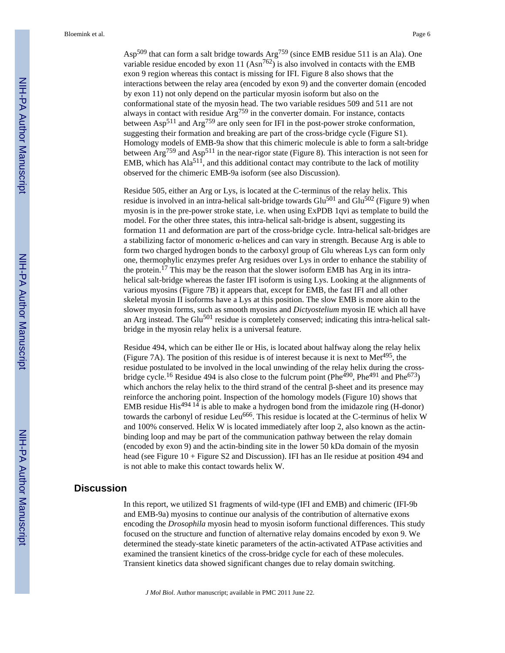Asp509 that can form a salt bridge towards Arg759 (since EMB residue 511 is an Ala). One variable residue encoded by exon 11  $(Asn^{762})$  is also involved in contacts with the EMB exon 9 region whereas this contact is missing for IFI. Figure 8 also shows that the interactions between the relay area (encoded by exon 9) and the converter domain (encoded by exon 11) not only depend on the particular myosin isoform but also on the conformational state of the myosin head. The two variable residues 509 and 511 are not always in contact with residue Arg759 in the converter domain. For instance, contacts between Asp511 and Arg759 are only seen for IFI in the post-power stroke conformation, suggesting their formation and breaking are part of the cross-bridge cycle (Figure S1). Homology models of EMB-9a show that this chimeric molecule is able to form a salt-bridge between  $\text{Arg}^{759}$  and  $\text{Asp}^{511}$  in the near-rigor state (Figure 8). This interaction is not seen for EMB, which has  $Ala<sup>511</sup>$ , and this additional contact may contribute to the lack of motility observed for the chimeric EMB-9a isoform (see also Discussion).

Residue 505, either an Arg or Lys, is located at the C-terminus of the relay helix. This residue is involved in an intra-helical salt-bridge towards  $Glu<sup>501</sup>$  and  $Glu<sup>502</sup>$  (Figure 9) when myosin is in the pre-power stroke state, i.e. when using ExPDB 1qvi as template to build the model. For the other three states, this intra-helical salt-bridge is absent, suggesting its formation 11 and deformation are part of the cross-bridge cycle. Intra-helical salt-bridges are a stabilizing factor of monomeric g-helices and can vary in strength. Because Arg is able to form two charged hydrogen bonds to the carboxyl group of Glu whereas Lys can form only one, thermophylic enzymes prefer Arg residues over Lys in order to enhance the stability of the protein.<sup>17</sup> This may be the reason that the slower isoform EMB has Arg in its intrahelical salt-bridge whereas the faster IFI isoform is using Lys. Looking at the alignments of various myosins (Figure 7B) it appears that, except for EMB, the fast IFI and all other skeletal myosin II isoforms have a Lys at this position. The slow EMB is more akin to the slower myosin forms, such as smooth myosins and *Dictyostelium* myosin IE which all have an Arg instead. The Glu $^{501}$  residue is completely conserved; indicating this intra-helical saltbridge in the myosin relay helix is a universal feature.

Residue 494, which can be either Ile or His, is located about halfway along the relay helix (Figure 7A). The position of this residue is of interest because it is next to Met<sup>495</sup>, the residue postulated to be involved in the local unwinding of the relay helix during the crossbridge cycle.<sup>16</sup> Residue 494 is also close to the fulcrum point (Phe<sup>490</sup>, Phe<sup>491</sup> and Phe<sup>673</sup>) which anchors the relay helix to the third strand of the central  $\beta$ -sheet and its presence may reinforce the anchoring point. Inspection of the homology models (Figure 10) shows that EMB residue His<sup>494 14</sup> is able to make a hydrogen bond from the imidazole ring (H-donor) towards the carbonyl of residue Leu<sup>666</sup>. This residue is located at the C-terminus of helix W and 100% conserved. Helix W is located immediately after loop 2, also known as the actinbinding loop and may be part of the communication pathway between the relay domain (encoded by exon 9) and the actin-binding site in the lower 50 kDa domain of the myosin head (see Figure 10 + Figure S2 and Discussion). IFI has an Ile residue at position 494 and is not able to make this contact towards helix W.

#### **Discussion**

In this report, we utilized S1 fragments of wild-type (IFI and EMB) and chimeric (IFI-9b and EMB-9a) myosins to continue our analysis of the contribution of alternative exons encoding the *Drosophila* myosin head to myosin isoform functional differences. This study focused on the structure and function of alternative relay domains encoded by exon 9. We determined the steady-state kinetic parameters of the actin-activated ATPase activities and examined the transient kinetics of the cross-bridge cycle for each of these molecules. Transient kinetics data showed significant changes due to relay domain switching.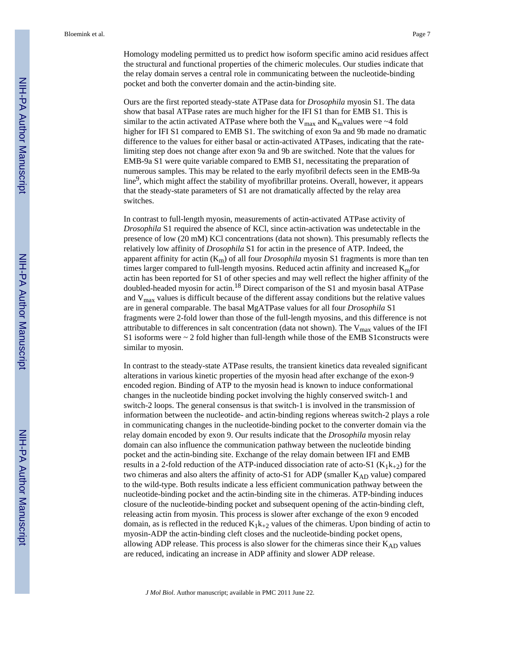Homology modeling permitted us to predict how isoform specific amino acid residues affect the structural and functional properties of the chimeric molecules. Our studies indicate that the relay domain serves a central role in communicating between the nucleotide-binding pocket and both the converter domain and the actin-binding site.

Ours are the first reported steady-state ATPase data for *Drosophila* myosin S1. The data show that basal ATPase rates are much higher for the IFI S1 than for EMB S1. This is similar to the actin activated ATPase where both the  $V_{max}$  and  $K_{m}$ values were ~4 fold higher for IFI S1 compared to EMB S1. The switching of exon 9a and 9b made no dramatic difference to the values for either basal or actin-activated ATPases, indicating that the ratelimiting step does not change after exon 9a and 9b are switched. Note that the values for EMB-9a S1 were quite variable compared to EMB S1, necessitating the preparation of numerous samples. This may be related to the early myofibril defects seen in the EMB-9a line<sup>9</sup>, which might affect the stability of myofibrillar proteins. Overall, however, it appears that the steady-state parameters of S1 are not dramatically affected by the relay area switches.

In contrast to full-length myosin, measurements of actin-activated ATPase activity of *Drosophila* S1 required the absence of KCl, since actin-activation was undetectable in the presence of low (20 mM) KCl concentrations (data not shown). This presumably reflects the relatively low affinity of *Drosophila* S1 for actin in the presence of ATP. Indeed, the apparent affinity for actin  $(K<sub>m</sub>)$  of all four *Drosophila* myosin S1 fragments is more than ten times larger compared to full-length myosins. Reduced actin affinity and increased  $K<sub>m</sub>$  for actin has been reported for S1 of other species and may well reflect the higher affinity of the doubled-headed myosin for actin.<sup>18</sup> Direct comparison of the S1 and myosin basal ATPase and  $V_{\text{max}}$  values is difficult because of the different assay conditions but the relative values are in general comparable. The basal MgATPase values for all four *Drosophila* S1 fragments were 2-fold lower than those of the full-length myosins, and this difference is not attributable to differences in salt concentration (data not shown). The  $V_{\text{max}}$  values of the IFI S1 isoforms were  $\sim$  2 fold higher than full-length while those of the EMB S1 constructs were similar to myosin.

In contrast to the steady-state ATPase results, the transient kinetics data revealed significant alterations in various kinetic properties of the myosin head after exchange of the exon-9 encoded region. Binding of ATP to the myosin head is known to induce conformational changes in the nucleotide binding pocket involving the highly conserved switch-1 and switch-2 loops. The general consensus is that switch-1 is involved in the transmission of information between the nucleotide- and actin-binding regions whereas switch-2 plays a role in communicating changes in the nucleotide-binding pocket to the converter domain via the relay domain encoded by exon 9. Our results indicate that the *Drosophila* myosin relay domain can also influence the communication pathway between the nucleotide binding pocket and the actin-binding site. Exchange of the relay domain between IFI and EMB results in a 2-fold reduction of the ATP-induced dissociation rate of acto-S1 ( $K_1k_{+2}$ ) for the two chimeras and also alters the affinity of acto-S1 for ADP (smaller K<sub>AD</sub> value) compared to the wild-type. Both results indicate a less efficient communication pathway between the nucleotide-binding pocket and the actin-binding site in the chimeras. ATP-binding induces closure of the nucleotide-binding pocket and subsequent opening of the actin-binding cleft, releasing actin from myosin. This process is slower after exchange of the exon 9 encoded domain, as is reflected in the reduced  $K_1k_{+2}$  values of the chimeras. Upon binding of actin to myosin-ADP the actin-binding cleft closes and the nucleotide-binding pocket opens, allowing ADP release. This process is also slower for the chimeras since their  $K_{AD}$  values are reduced, indicating an increase in ADP affinity and slower ADP release.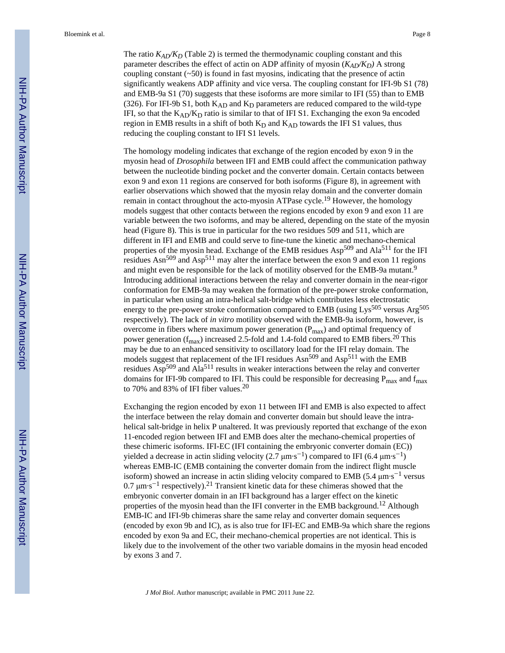The ratio  $K_{AD}/K_D$  (Table 2) is termed the thermodynamic coupling constant and this parameter describes the effect of actin on ADP affinity of myosin  $(K_{AD}/K_D)$  A strong coupling constant  $(-50)$  is found in fast myosins, indicating that the presence of actin significantly weakens ADP affinity and vice versa. The coupling constant for IFI-9b S1 (78) and EMB-9a S1 (70) suggests that these isoforms are more similar to IFI (55) than to EMB (326). For IFI-9b S1, both  $K_{AD}$  and  $K_D$  parameters are reduced compared to the wild-type IFI, so that the  $K_{AD}/K_D$  ratio is similar to that of IFI S1. Exchanging the exon 9a encoded region in EMB results in a shift of both  $K_D$  and  $K_{AD}$  towards the IFI S1 values, thus reducing the coupling constant to IFI S1 levels.

The homology modeling indicates that exchange of the region encoded by exon 9 in the myosin head of *Drosophila* between IFI and EMB could affect the communication pathway between the nucleotide binding pocket and the converter domain. Certain contacts between exon 9 and exon 11 regions are conserved for both isoforms (Figure 8), in agreement with earlier observations which showed that the myosin relay domain and the converter domain remain in contact throughout the acto-myosin ATPase cycle.19 However, the homology models suggest that other contacts between the regions encoded by exon 9 and exon 11 are variable between the two isoforms, and may be altered, depending on the state of the myosin head (Figure 8). This is true in particular for the two residues 509 and 511, which are different in IFI and EMB and could serve to fine-tune the kinetic and mechano-chemical properties of the myosin head. Exchange of the EMB residues Asp<sup>509</sup> and Ala<sup>511</sup> for the IFI residues  $\text{Asn}^{509}$  and  $\text{Asp}^{511}$  may alter the interface between the exon 9 and exon 11 regions and might even be responsible for the lack of motility observed for the EMB-9a mutant.<sup>9</sup> Introducing additional interactions between the relay and converter domain in the near-rigor conformation for EMB-9a may weaken the formation of the pre-power stroke conformation, in particular when using an intra-helical salt-bridge which contributes less electrostatic energy to the pre-power stroke conformation compared to EMB (using Lys<sup>505</sup> versus Arg<sup>505</sup> respectively). The lack of *in vitro* motility observed with the EMB-9a isoform, however, is overcome in fibers where maximum power generation  $(P_{\text{max}})$  and optimal frequency of power generation ( $f_{\text{max}}$ ) increased 2.5-fold and 1.4-fold compared to EMB fibers.<sup>20</sup> This may be due to an enhanced sensitivity to oscillatory load for the IFI relay domain. The models suggest that replacement of the IFI residues  $\text{Asn}^{509}$  and  $\text{Asp}^{511}$  with the EMB residues  $\text{Asp}^{509}$  and  $\text{Ala}^{511}$  results in weaker interactions between the relay and converter domains for IFI-9b compared to IFI. This could be responsible for decreasing  $P_{max}$  and  $f_{max}$ to 70% and 83% of IFI fiber values.<sup>20</sup>

Exchanging the region encoded by exon 11 between IFI and EMB is also expected to affect the interface between the relay domain and converter domain but should leave the intrahelical salt-bridge in helix P unaltered. It was previously reported that exchange of the exon 11-encoded region between IFI and EMB does alter the mechano-chemical properties of these chimeric isoforms. IFI-EC (IFI containing the embryonic converter domain (EC)) yielded a decrease in actin sliding velocity (2.7  $\mu$ m·s<sup>-1</sup>) compared to IFI (6.4  $\mu$ m·s<sup>-1</sup>) whereas EMB-IC (EMB containing the converter domain from the indirect flight muscle isoform) showed an increase in actin sliding velocity compared to EMB (5.4  $\mu$ m·s<sup>-1</sup> versus 0.7  $\mu$ m·s<sup>-1</sup> respectively).<sup>21</sup> Transient kinetic data for these chimeras showed that the embryonic converter domain in an IFI background has a larger effect on the kinetic properties of the myosin head than the IFI converter in the EMB background.<sup>12</sup> Although EMB-IC and IFI-9b chimeras share the same relay and converter domain sequences (encoded by exon 9b and IC), as is also true for IFI-EC and EMB-9a which share the regions encoded by exon 9a and EC, their mechano-chemical properties are not identical. This is likely due to the involvement of the other two variable domains in the myosin head encoded by exons 3 and 7.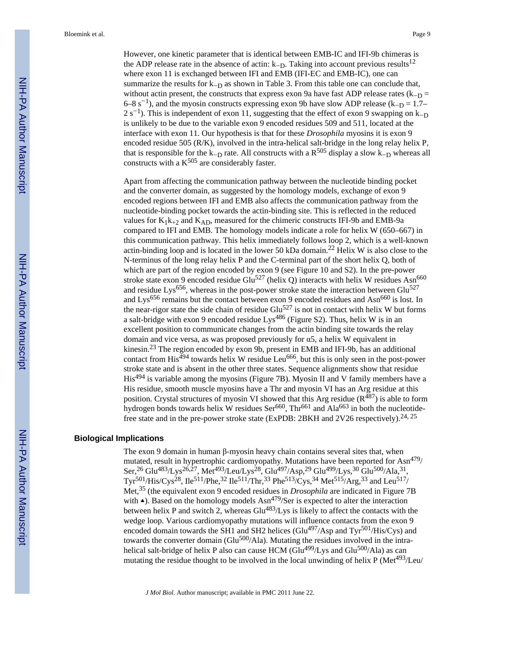However, one kinetic parameter that is identical between EMB-IC and IFI-9b chimeras is the ADP release rate in the absence of actin:  $k-p$ . Taking into account previous results<sup>12</sup> where exon 11 is exchanged between IFI and EMB (IFI-EC and EMB-IC), one can summarize the results for  $k-p$  as shown in Table 3. From this table one can conclude that, without actin present, the constructs that express exon 9a have fast ADP release rates  $(k_{-D} =$ 6–8 s<sup>-1</sup>), and the myosin constructs expressing exon 9b have slow ADP release ( $k-p = 1.7$ –  $2 s<sup>-1</sup>$ ). This is independent of exon 11, suggesting that the effect of exon 9 swapping on  $k<sub>-D</sub>$ is unlikely to be due to the variable exon 9 encoded residues 509 and 511, located at the interface with exon 11. Our hypothesis is that for these *Drosophila* myosins it is exon 9 encoded residue 505 (R/K), involved in the intra-helical salt-bridge in the long relay helix P, that is responsible for the k<sub>-D</sub> rate. All constructs with a  $R^{505}$  display a slow k<sub>-D</sub> whereas all constructs with a  $K^{505}$  are considerably faster.

Apart from affecting the communication pathway between the nucleotide binding pocket and the converter domain, as suggested by the homology models, exchange of exon 9 encoded regions between IFI and EMB also affects the communication pathway from the nucleotide-binding pocket towards the actin-binding site. This is reflected in the reduced values for  $K_1k_{+2}$  and  $K_{AD}$ , measured for the chimeric constructs IFI-9b and EMB-9a compared to IFI and EMB. The homology models indicate a role for helix W (650–667) in this communication pathway. This helix immediately follows loop 2, which is a well-known actin-binding loop and is located in the lower 50 kDa domain.<sup>22</sup> Helix W is also close to the N-terminus of the long relay helix P and the C-terminal part of the short helix Q, both of which are part of the region encoded by exon 9 (see Figure 10 and S2). In the pre-power stroke state exon 9 encoded residue Glu<sup>527</sup> (helix Q) interacts with helix W residues Asn<sup>660</sup> and residue Lys<sup>656</sup>, whereas in the post-power stroke state the interaction between  $Glu<sup>527</sup>$ and Lys<sup>656</sup> remains but the contact between exon 9 encoded residues and Asn<sup>660</sup> is lost. In the near-rigor state the side chain of residue Glu<sup>527</sup> is not in contact with helix W but forms a salt-bridge with exon 9 encoded residue Lys<sup>486</sup> (Figure S2). Thus, helix W is in an excellent position to communicate changes from the actin binding site towards the relay domain and vice versa, as was proposed previously for  $\alpha$ 5, a helix W equivalent in kinesin.23 The region encoded by exon 9b, present in EMB and IFI-9b, has an additional contact from  $His^{494}$  towards helix W residue Leu<sup>666</sup>, but this is only seen in the post-power stroke state and is absent in the other three states. Sequence alignments show that residue His494 is variable among the myosins (Figure 7B). Myosin II and V family members have a His residue, smooth muscle myosins have a Thr and myosin VI has an Arg residue at this position. Crystal structures of myosin VI showed that this Arg residue  $(R^{487})$  is able to form hydrogen bonds towards helix W residues Ser<sup>660</sup>, Thr<sup>661</sup> and Ala<sup>663</sup> in both the nucleotidefree state and in the pre-power stroke state (ExPDB: 2BKH and 2V26 respectively).<sup>24, 25</sup>

#### **Biological Implications**

The exon 9 domain in human  $\beta$ -myosin heavy chain contains several sites that, when mutated, result in hypertrophic cardiomyopathy. Mutations have been reported for  $\text{Asn}^{479}$ / Ser,<sup>26</sup> Glu<sup>483</sup>/Lys<sup>26,27</sup>, Met<sup>493</sup>/Leu/Lys<sup>28</sup>, Glu<sup>497</sup>/Asp,<sup>29</sup> Glu<sup>499</sup>/Lys,<sup>30</sup> Glu<sup>500</sup>/Ala,<sup>31</sup>,  $Tyr^{501}/His/Cys^{28}$ ,  $Ile^{511}/Phe^{32} Ile^{511}/Thr^{33} Phe^{513}/Cys^{34} Met^{515}/Arg^{33}$  and Leu<sup>517</sup>/ Met,35 (the equivalent exon 9 encoded residues in *Drosophila* are indicated in Figure 7B with  $\triangle$ ). Based on the homology models Asn<sup>479</sup>/Ser is expected to alter the interaction between helix P and switch 2, whereas  $Glu^{483}/L$ ys is likely to affect the contacts with the wedge loop. Various cardiomyopathy mutations will influence contacts from the exon 9 encoded domain towards the SH1 and SH2 helices (Glu $^{497}/$ Asp and Tyr<sup>501</sup>/His/Cys) and towards the converter domain (Glu $500/$ Ala). Mutating the residues involved in the intrahelical salt-bridge of helix P also can cause HCM ( $\text{Glu}^{499}/\text{Lys}$  and  $\text{Glu}^{500}/\text{Ala}$ ) as can mutating the residue thought to be involved in the local unwinding of helix P (Met<sup>493</sup>/Leu/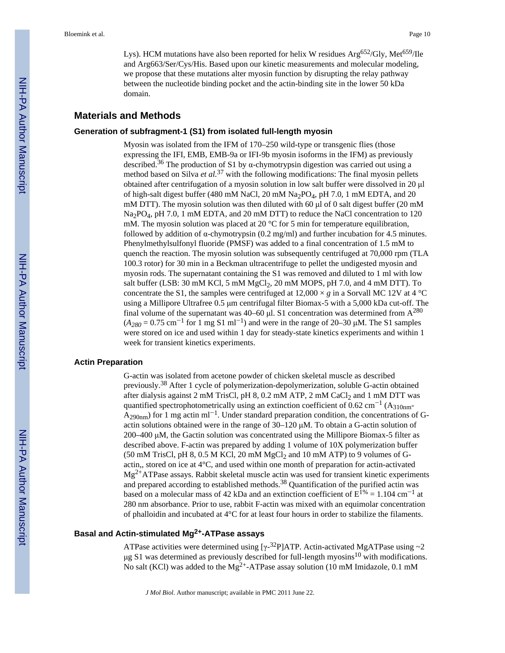Lys). HCM mutations have also been reported for helix W residues  $Arg^{652}/Gly$ , Met<sup>659</sup>/Ile and Arg663/Ser/Cys/His. Based upon our kinetic measurements and molecular modeling, we propose that these mutations alter myosin function by disrupting the relay pathway between the nucleotide binding pocket and the actin-binding site in the lower 50 kDa domain.

#### **Materials and Methods**

#### **Generation of subfragment-1 (S1) from isolated full-length myosin**

Myosin was isolated from the IFM of 170–250 wild-type or transgenic flies (those expressing the IFI, EMB, EMB-9a or IFI-9b myosin isoforms in the IFM) as previously described.<sup>36</sup> The production of S1 by  $\alpha$ -chymotrypsin digestion was carried out using a method based on Silva *et al.*37 with the following modifications: The final myosin pellets obtained after centrifugation of a myosin solution in low salt buffer were dissolved in 20  $\mu$ of high-salt digest buffer (480 mM NaCl, 20 mM Na2PO4, pH 7.0, 1 mM EDTA, and 20 mM DTT). The myosin solution was then diluted with 60  $\mu$ l of 0 salt digest buffer (20 mM Na<sub>2</sub>PO<sub>4</sub>, pH 7.0, 1 mM EDTA, and 20 mM DTT) to reduce the NaCl concentration to 120 mM. The myosin solution was placed at 20  $^{\circ}$ C for 5 min for temperature equilibration, followed by addition of  $\alpha$ -chymotrypsin (0.2 mg/ml) and further incubation for 4.5 minutes. Phenylmethylsulfonyl fluoride (PMSF) was added to a final concentration of 1.5 mM to quench the reaction. The myosin solution was subsequently centrifuged at 70,000 rpm (TLA 100.3 rotor) for 30 min in a Beckman ultracentrifuge to pellet the undigested myosin and myosin rods. The supernatant containing the S1 was removed and diluted to 1 ml with low salt buffer (LSB:  $30 \text{ mM KCl}$ ,  $5 \text{ mM MgCl}$ ,  $20 \text{ mM MOPS}$ ,  $pH 7.0$ , and  $4 \text{ mM DTT}$ ). To concentrate the S1, the samples were centrifuged at 12,000  $\times g$  in a Sorvall MC 12V at 4 °C using a Millipore Ultrafree 0.5 µm centrifugal filter Biomax-5 with a 5,000 kDa cut-off. The final volume of the supernatant was 40–60  $\mu$ l. S1 concentration was determined from A<sup>280</sup>  $(A_{280} = 0.75 \text{ cm}^{-1} \text{ for } 1 \text{ mg } S1 \text{ ml}^{-1})$  and were in the range of 20–30  $\mu$ M. The S1 samples were stored on ice and used within 1 day for steady-state kinetics experiments and within 1 week for transient kinetics experiments.

#### **Actin Preparation**

G-actin was isolated from acetone powder of chicken skeletal muscle as described previously.38 After 1 cycle of polymerization-depolymerization, soluble G-actin obtained after dialysis against 2 mM TrisCl, pH  $8$ , 0.2 mM ATP, 2 mM CaCl<sub>2</sub> and 1 mM DTT was quantified spectrophotometrically using an extinction coefficient of 0.62 cm<sup>-1</sup> (A<sub>310nm</sub>- $A_{290nm}$ ) for 1 mg actin ml<sup>-1</sup>. Under standard preparation condition, the concentrations of Gactin solutions obtained were in the range of  $30-120 \mu M$ . To obtain a G-actin solution of  $200-400 \mu M$ , the Gactin solution was concentrated using the Millipore Biomax-5 filter as described above. F-actin was prepared by adding 1 volume of 10X polymerization buffer  $(50 \text{ mM TrisCl}, \text{pH } 8, 0.5 \text{ M KCl}, 20 \text{ mM } \text{MgCl}_2 \text{ and } 10 \text{ mM ATP}$  to 9 volumes of Gactin,, stored on ice at 4°C, and used within one month of preparation for actin-activated Mg2+ATPase assays. Rabbit skeletal muscle actin was used for transient kinetic experiments and prepared according to established methods.<sup>38</sup> Quantification of the purified actin was based on a molecular mass of 42 kDa and an extinction coefficient of  $E^{1\%} = 1.104$  cm<sup>-1</sup> at 280 nm absorbance. Prior to use, rabbit F-actin was mixed with an equimolar concentration of phalloidin and incubated at 4°C for at least four hours in order to stabilize the filaments.

#### **Basal and Actin-stimulated Mg2+-ATPase assays**

ATPase activities were determined using  $[\gamma$ -<sup>32</sup>P]ATP. Actin-activated MgATPase using ~2  $\mu$ g S1 was determined as previously described for full-length myosins<sup>10</sup> with modifications. No salt (KCl) was added to the  $Mg^{2+}$ -ATPase assay solution (10 mM Imidazole, 0.1 mM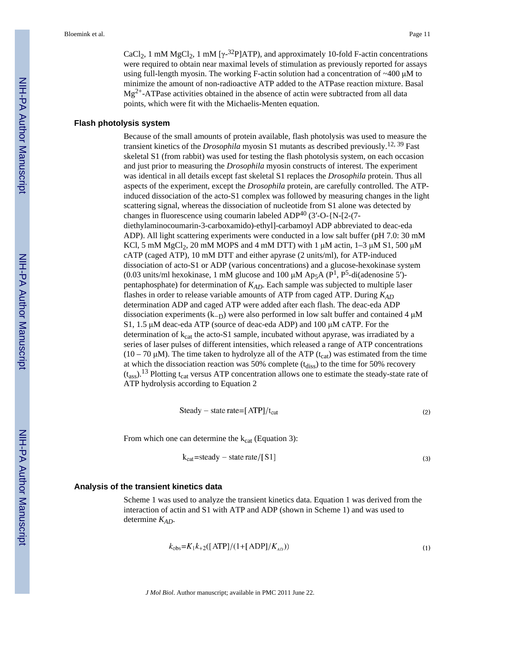CaCl<sub>2</sub>, 1 mM MgCl<sub>2</sub>, 1 mM [ $\gamma$ -<sup>32</sup>P]ATP), and approximately 10-fold F-actin concentrations were required to obtain near maximal levels of stimulation as previously reported for assays using full-length myosin. The working F-actin solution had a concentration of  $\sim$ 400  $\mu$ M to minimize the amount of non-radioactive ATP added to the ATPase reaction mixture. Basal  $Mg^{2+}$ -ATPase activities obtained in the absence of actin were subtracted from all data points, which were fit with the Michaelis-Menten equation.

#### **Flash photolysis system**

Because of the small amounts of protein available, flash photolysis was used to measure the transient kinetics of the *Drosophila* myosin S1 mutants as described previously.12, 39 Fast skeletal S1 (from rabbit) was used for testing the flash photolysis system, on each occasion and just prior to measuring the *Drosophila* myosin constructs of interest. The experiment was identical in all details except fast skeletal S1 replaces the *Drosophila* protein. Thus all aspects of the experiment, except the *Drosophila* protein, are carefully controlled. The ATPinduced dissociation of the acto-S1 complex was followed by measuring changes in the light scattering signal, whereas the dissociation of nucleotide from S1 alone was detected by changes in fluorescence using coumarin labeled ADP $^{40}$  (3'-O-{N-[2-(7diethylaminocoumarin-3-carboxamido)-ethyl]-carbamoyl ADP abbreviated to deac-eda ADP). All light scattering experiments were conducted in a low salt buffer (pH 7.0: 30 mM KCl, 5 mM MgCl<sub>2</sub>, 20 mM MOPS and 4 mM DTT) with 1  $\mu$ M actin, 1–3  $\mu$ M S1, 500  $\mu$ M cATP (caged ATP), 10 mM DTT and either apyrase (2 units/ml), for ATP-induced dissociation of acto-S1 or ADP (various concentrations) and a glucose-hexokinase system (0.03 units/ml hexokinase, 1 mM glucose and 100  $\mu$ M Ap<sub>5</sub>A (P<sup>1</sup>, P<sup>5</sup>-di(adenosine 5')pentaphosphate) for determination of *KAD*. Each sample was subjected to multiple laser flashes in order to release variable amounts of ATP from caged ATP. During *KAD* determination ADP and caged ATP were added after each flash. The deac-eda ADP dissociation experiments  $(k_{D})$  were also performed in low salt buffer and contained 4  $\mu$ M S1, 1.5  $\mu$ M deac-eda ATP (source of deac-eda ADP) and 100  $\mu$ M cATP. For the determination of  $k_{cat}$  the acto-S1 sample, incubated without apyrase, was irradiated by a series of laser pulses of different intensities, which released a range of ATP concentrations  $(10 – 70 \mu M)$ . The time taken to hydrolyze all of the ATP (t<sub>cat</sub>) was estimated from the time at which the dissociation reaction was 50% complete  $(t_{diss})$  to the time for 50% recovery  $(t_{ass})$ .<sup>13</sup> Plotting t<sub>cat</sub> versus ATP concentration allows one to estimate the steady-state rate of ATP hydrolysis according to Equation 2

$$
Steady - state rate = [ATP]/t_{cat}
$$
\n(2)

From which one can determine the  $k_{cat}$  (Equation 3):

$$
k_{cat} = steady - state rate / [S1]
$$
 (3)

#### **Analysis of the transient kinetics data**

Scheme 1 was used to analyze the transient kinetics data. Equation 1 was derived from the interaction of actin and S1 with ATP and ADP (shown in Scheme 1) and was used to determine *KAD*.

$$
k_{\rm obs} = K_1 k_{+2} ([ATP]/(1 + [ADP]/K_{AD}))
$$
\n(1)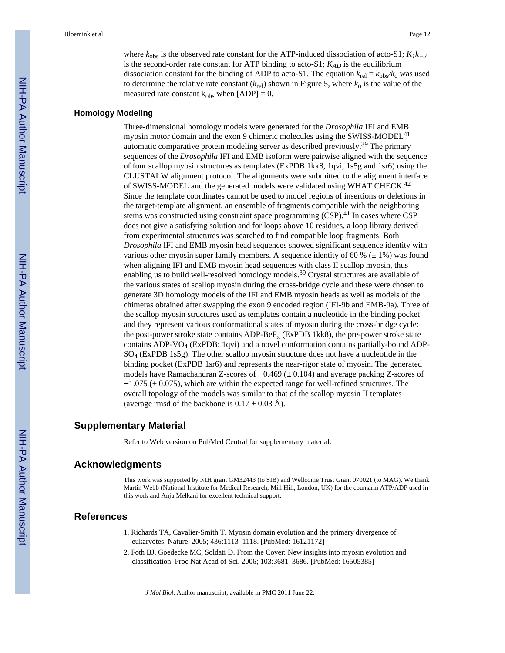where  $k_{obs}$  is the observed rate constant for the ATP-induced dissociation of acto-S1;  $K_1k_{+2}$ is the second-order rate constant for ATP binding to acto-S1;  $K_{AD}$  is the equilibrium dissociation constant for the binding of ADP to acto-S1. The equation  $k_{rel} = k_{obs}/k_0$  was used to determine the relative rate constant  $(k_{rel})$  shown in Figure 5, where  $k_0$  is the value of the measured rate constant  $k_{obs}$  when  $[ADP] = 0$ .

#### **Homology Modeling**

Three-dimensional homology models were generated for the *Drosophila* IFI and EMB myosin motor domain and the exon 9 chimeric molecules using the SWISS-MODEL<sup>41</sup> automatic comparative protein modeling server as described previously.39 The primary sequences of the *Drosophila* IFI and EMB isoform were pairwise aligned with the sequence of four scallop myosin structures as templates (ExPDB 1kk8, 1qvi, 1s5g and 1sr6) using the CLUSTALW alignment protocol. The alignments were submitted to the alignment interface of SWISS-MODEL and the generated models were validated using WHAT CHECK.<sup>42</sup> Since the template coordinates cannot be used to model regions of insertions or deletions in the target-template alignment, an ensemble of fragments compatible with the neighboring stems was constructed using constraint space programming (CSP).<sup>41</sup> In cases where CSP does not give a satisfying solution and for loops above 10 residues, a loop library derived from experimental structures was searched to find compatible loop fragments. Both *Drosophila* IFI and EMB myosin head sequences showed significant sequence identity with various other myosin super family members. A sequence identity of 60 % ( $\pm$  1%) was found when aligning IFI and EMB myosin head sequences with class II scallop myosin, thus enabling us to build well-resolved homology models.<sup>39</sup> Crystal structures are available of the various states of scallop myosin during the cross-bridge cycle and these were chosen to generate 3D homology models of the IFI and EMB myosin heads as well as models of the chimeras obtained after swapping the exon 9 encoded region (IFI-9b and EMB-9a). Three of the scallop myosin structures used as templates contain a nucleotide in the binding pocket and they represent various conformational states of myosin during the cross-bridge cycle: the post-power stroke state contains  $ADP-BeF<sub>x</sub>$  (ExPDB 1kk8), the pre-power stroke state contains ADP-VO4 (ExPDB: 1qvi) and a novel conformation contains partially-bound ADP-SO4 (ExPDB 1s5g). The other scallop myosin structure does not have a nucleotide in the binding pocket (ExPDB 1sr6) and represents the near-rigor state of myosin. The generated models have Ramachandran Z-scores of  $-0.469 \ (\pm 0.104)$  and average packing Z-scores of  $-1.075$  ( $\pm$  0.075), which are within the expected range for well-refined structures. The overall topology of the models was similar to that of the scallop myosin II templates (average rmsd of the backbone is  $0.17 \pm 0.03$  Å).

#### **Supplementary Material**

Refer to Web version on PubMed Central for supplementary material.

#### **Acknowledgments**

This work was supported by NIH grant GM32443 (to SIB) and Wellcome Trust Grant 070021 (to MAG). We thank Martin Webb (National Institute for Medical Research, Mill Hill, London, UK) for the coumarin ATP/ADP used in this work and Anju Melkani for excellent technical support.

#### **References**

- 1. Richards TA, Cavalier-Smith T. Myosin domain evolution and the primary divergence of eukaryotes. Nature. 2005; 436:1113–1118. [PubMed: 16121172]
- 2. Foth BJ, Goedecke MC, Soldati D. From the Cover: New insights into myosin evolution and classification. Proc Nat Acad of Sci. 2006; 103:3681–3686. [PubMed: 16505385]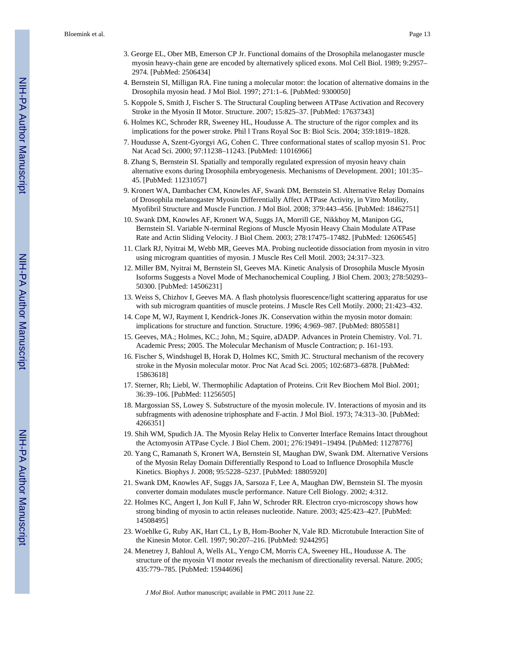- 3. George EL, Ober MB, Emerson CP Jr. Functional domains of the Drosophila melanogaster muscle myosin heavy-chain gene are encoded by alternatively spliced exons. Mol Cell Biol. 1989; 9:2957– 2974. [PubMed: 2506434]
- 4. Bernstein SI, Milligan RA. Fine tuning a molecular motor: the location of alternative domains in the Drosophila myosin head. J Mol Biol. 1997; 271:1–6. [PubMed: 9300050]
- 5. Koppole S, Smith J, Fischer S. The Structural Coupling between ATPase Activation and Recovery Stroke in the Myosin II Motor. Structure. 2007; 15:825–37. [PubMed: 17637343]
- 6. Holmes KC, Schroder RR, Sweeney HL, Houdusse A. The structure of the rigor complex and its implications for the power stroke. Phil l Trans Royal Soc B: Biol Scis. 2004; 359:1819–1828.
- 7. Houdusse A, Szent-Gyorgyi AG, Cohen C. Three conformational states of scallop myosin S1. Proc Nat Acad Sci. 2000; 97:11238–11243. [PubMed: 11016966]
- 8. Zhang S, Bernstein SI. Spatially and temporally regulated expression of myosin heavy chain alternative exons during Drosophila embryogenesis. Mechanisms of Development. 2001; 101:35– 45. [PubMed: 11231057]
- 9. Kronert WA, Dambacher CM, Knowles AF, Swank DM, Bernstein SI. Alternative Relay Domains of Drosophila melanogaster Myosin Differentially Affect ATPase Activity, in Vitro Motility, Myofibril Structure and Muscle Function. J Mol Biol. 2008; 379:443–456. [PubMed: 18462751]
- 10. Swank DM, Knowles AF, Kronert WA, Suggs JA, Morrill GE, Nikkhoy M, Manipon GG, Bernstein SI. Variable N-terminal Regions of Muscle Myosin Heavy Chain Modulate ATPase Rate and Actin Sliding Velocity. J Biol Chem. 2003; 278:17475–17482. [PubMed: 12606545]
- 11. Clark RJ, Nyitrai M, Webb MR, Geeves MA. Probing nucleotide dissociation from myosin in vitro using microgram quantities of myosin. J Muscle Res Cell Motil. 2003; 24:317–323.
- 12. Miller BM, Nyitrai M, Bernstein SI, Geeves MA. Kinetic Analysis of Drosophila Muscle Myosin Isoforms Suggests a Novel Mode of Mechanochemical Coupling. J Biol Chem. 2003; 278:50293– 50300. [PubMed: 14506231]
- 13. Weiss S, Chizhov I, Geeves MA. A flash photolysis fluorescence/light scattering apparatus for use with sub microgram quantities of muscle proteins. J Muscle Res Cell Motily. 2000; 21:423–432.
- 14. Cope M, WJ, Rayment I, Kendrick-Jones JK. Conservation within the myosin motor domain: implications for structure and function. Structure. 1996; 4:969–987. [PubMed: 8805581]
- 15. Geeves, MA.; Holmes, KC.; John, M.; Squire, aDADP. Advances in Protein Chemistry. Vol. 71. Academic Press; 2005. The Molecular Mechanism of Muscle Contraction; p. 161-193.
- 16. Fischer S, Windshugel B, Horak D, Holmes KC, Smith JC. Structural mechanism of the recovery stroke in the Myosin molecular motor. Proc Nat Acad Sci. 2005; 102:6873–6878. [PubMed: 15863618]
- 17. Sterner, Rh; Liebl, W. Thermophilic Adaptation of Proteins. Crit Rev Biochem Mol Biol. 2001; 36:39–106. [PubMed: 11256505]
- 18. Margossian SS, Lowey S. Substructure of the myosin molecule. IV. Interactions of myosin and its subfragments with adenosine triphosphate and F-actin. J Mol Biol. 1973; 74:313–30. [PubMed: 4266351]
- 19. Shih WM, Spudich JA. The Myosin Relay Helix to Converter Interface Remains Intact throughout the Actomyosin ATPase Cycle. J Biol Chem. 2001; 276:19491–19494. [PubMed: 11278776]
- 20. Yang C, Ramanath S, Kronert WA, Bernstein SI, Maughan DW, Swank DM. Alternative Versions of the Myosin Relay Domain Differentially Respond to Load to Influence Drosophila Muscle Kinetics. Biophys J. 2008; 95:5228–5237. [PubMed: 18805920]
- 21. Swank DM, Knowles AF, Suggs JA, Sarsoza F, Lee A, Maughan DW, Bernstein SI. The myosin converter domain modulates muscle performance. Nature Cell Biology. 2002; 4:312.
- 22. Holmes KC, Angert I, Jon Kull F, Jahn W, Schroder RR. Electron cryo-microscopy shows how strong binding of myosin to actin releases nucleotide. Nature. 2003; 425:423–427. [PubMed: 14508495]
- 23. Woehlke G, Ruby AK, Hart CL, Ly B, Hom-Booher N, Vale RD. Microtubule Interaction Site of the Kinesin Motor. Cell. 1997; 90:207–216. [PubMed: 9244295]
- 24. Menetrey J, Bahloul A, Wells AL, Yengo CM, Morris CA, Sweeney HL, Houdusse A. The structure of the myosin VI motor reveals the mechanism of directionality reversal. Nature. 2005; 435:779–785. [PubMed: 15944696]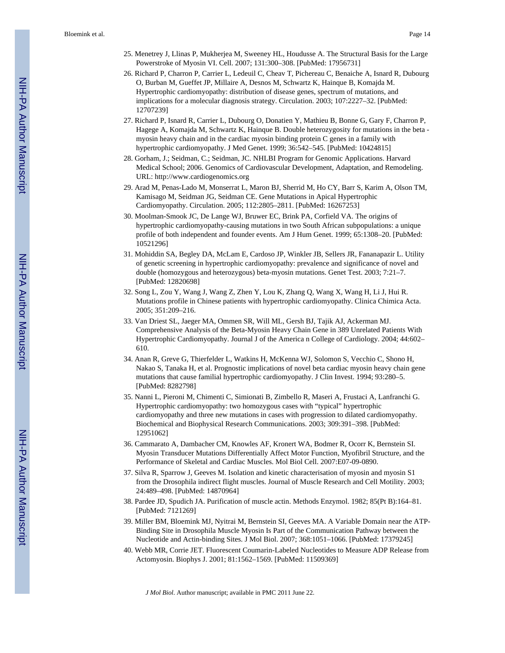- 25. Menetrey J, Llinas P, Mukherjea M, Sweeney HL, Houdusse A. The Structural Basis for the Large Powerstroke of Myosin VI. Cell. 2007; 131:300–308. [PubMed: 17956731]
- 26. Richard P, Charron P, Carrier L, Ledeuil C, Cheav T, Pichereau C, Benaiche A, Isnard R, Dubourg O, Burban M, Gueffet JP, Millaire A, Desnos M, Schwartz K, Hainque B, Komajda M. Hypertrophic cardiomyopathy: distribution of disease genes, spectrum of mutations, and implications for a molecular diagnosis strategy. Circulation. 2003; 107:2227–32. [PubMed: 12707239]
- 27. Richard P, Isnard R, Carrier L, Dubourg O, Donatien Y, Mathieu B, Bonne G, Gary F, Charron P, Hagege A, Komajda M, Schwartz K, Hainque B. Double heterozygosity for mutations in the beta myosin heavy chain and in the cardiac myosin binding protein C genes in a family with hypertrophic cardiomyopathy. J Med Genet. 1999; 36:542–545. [PubMed: 10424815]
- 28. Gorham, J.; Seidman, C.; Seidman, JC. NHLBI Program for Genomic Applications. Harvard Medical School; 2006. Genomics of Cardiovascular Development, Adaptation, and Remodeling. URL: <http://www.cardiogenomics.org>
- 29. Arad M, Penas-Lado M, Monserrat L, Maron BJ, Sherrid M, Ho CY, Barr S, Karim A, Olson TM, Kamisago M, Seidman JG, Seidman CE. Gene Mutations in Apical Hypertrophic Cardiomyopathy. Circulation. 2005; 112:2805–2811. [PubMed: 16267253]
- 30. Moolman-Smook JC, De Lange WJ, Bruwer EC, Brink PA, Corfield VA. The origins of hypertrophic cardiomyopathy-causing mutations in two South African subpopulations: a unique profile of both independent and founder events. Am J Hum Genet. 1999; 65:1308–20. [PubMed: 10521296]
- 31. Mohiddin SA, Begley DA, McLam E, Cardoso JP, Winkler JB, Sellers JR, Fananapazir L. Utility of genetic screening in hypertrophic cardiomyopathy: prevalence and significance of novel and double (homozygous and heterozygous) beta-myosin mutations. Genet Test. 2003; 7:21–7. [PubMed: 12820698]
- 32. Song L, Zou Y, Wang J, Wang Z, Zhen Y, Lou K, Zhang Q, Wang X, Wang H, Li J, Hui R. Mutations profile in Chinese patients with hypertrophic cardiomyopathy. Clinica Chimica Acta. 2005; 351:209–216.
- 33. Van Driest SL, Jaeger MA, Ommen SR, Will ML, Gersh BJ, Tajik AJ, Ackerman MJ. Comprehensive Analysis of the Beta-Myosin Heavy Chain Gene in 389 Unrelated Patients With Hypertrophic Cardiomyopathy. Journal J of the America n College of Cardiology. 2004; 44:602– 610.
- 34. Anan R, Greve G, Thierfelder L, Watkins H, McKenna WJ, Solomon S, Vecchio C, Shono H, Nakao S, Tanaka H, et al. Prognostic implications of novel beta cardiac myosin heavy chain gene mutations that cause familial hypertrophic cardiomyopathy. J Clin Invest. 1994; 93:280–5. [PubMed: 8282798]
- 35. Nanni L, Pieroni M, Chimenti C, Simionati B, Zimbello R, Maseri A, Frustaci A, Lanfranchi G. Hypertrophic cardiomyopathy: two homozygous cases with "typical" hypertrophic cardiomyopathy and three new mutations in cases with progression to dilated cardiomyopathy. Biochemical and Biophysical Research Communications. 2003; 309:391–398. [PubMed: 12951062]
- 36. Cammarato A, Dambacher CM, Knowles AF, Kronert WA, Bodmer R, Ocorr K, Bernstein SI. Myosin Transducer Mutations Differentially Affect Motor Function, Myofibril Structure, and the Performance of Skeletal and Cardiac Muscles. Mol Biol Cell. 2007:E07-09-0890.
- 37. Silva R, Sparrow J, Geeves M. Isolation and kinetic characterisation of myosin and myosin S1 from the Drosophila indirect flight muscles. Journal of Muscle Research and Cell Motility. 2003; 24:489–498. [PubMed: 14870964]
- 38. Pardee JD, Spudich JA. Purification of muscle actin. Methods Enzymol. 1982; 85(Pt B):164–81. [PubMed: 7121269]
- 39. Miller BM, Bloemink MJ, Nyitrai M, Bernstein SI, Geeves MA. A Variable Domain near the ATP-Binding Site in Drosophila Muscle Myosin Is Part of the Communication Pathway between the Nucleotide and Actin-binding Sites. J Mol Biol. 2007; 368:1051–1066. [PubMed: 17379245]
- 40. Webb MR, Corrie JET. Fluorescent Coumarin-Labeled Nucleotides to Measure ADP Release from Actomyosin. Biophys J. 2001; 81:1562–1569. [PubMed: 11509369]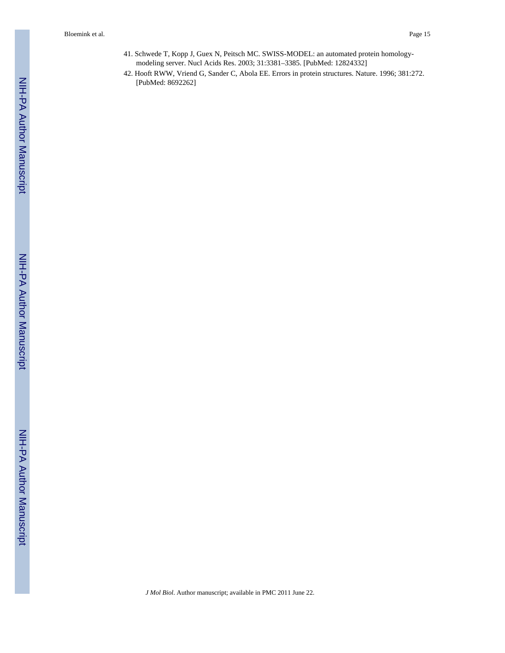- 41. Schwede T, Kopp J, Guex N, Peitsch MC. SWISS-MODEL: an automated protein homologymodeling server. Nucl Acids Res. 2003; 31:3381–3385. [PubMed: 12824332]
- 42. Hooft RWW, Vriend G, Sander C, Abola EE. Errors in protein structures. Nature. 1996; 381:272. [PubMed: 8692262]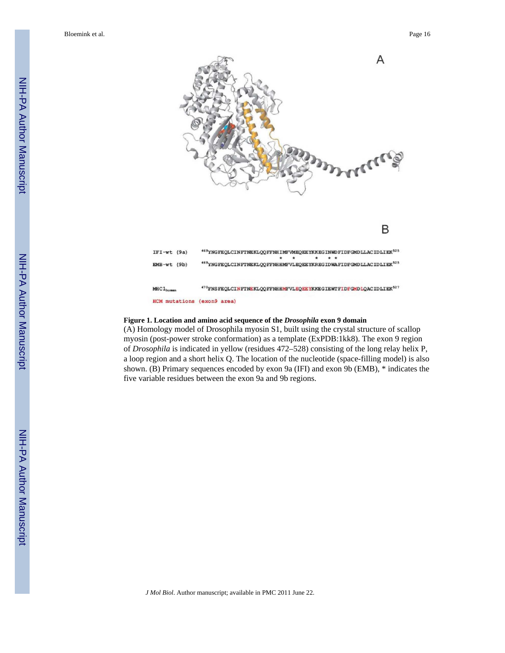

#### **Figure 1. Location and amino acid sequence of the** *Drosophila* **exon 9 domain**

(A) Homology model of Drosophila myosin S1, built using the crystal structure of scallop myosin (post-power stroke conformation) as a template (ExPDB:1kk8). The exon 9 region of *Drosophila* is indicated in yellow (residues 472–528) consisting of the long relay helix P, a loop region and a short helix Q. The location of the nucleotide (space-filling model) is also shown. (B) Primary sequences encoded by exon 9a (IFI) and exon 9b (EMB), \* indicates the five variable residues between the exon 9a and 9b regions.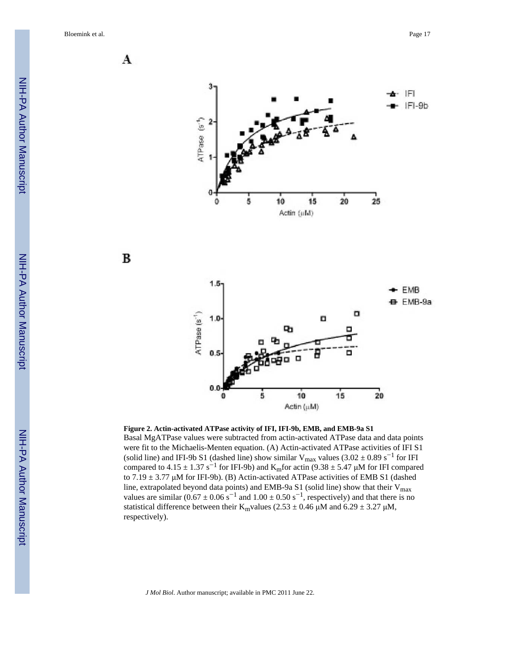A







**Figure 2. Actin-activated ATPase activity of IFI, IFI-9b, EMB, and EMB-9a S1** Basal MgATPase values were subtracted from actin-activated ATPase data and data points were fit to the Michaelis-Menten equation. (A) Actin-activated ATPase activities of IFI S1 (solid line) and IFI-9b S1 (dashed line) show similar  $V_{\text{max}}$  values (3.02  $\pm$  0.89 s<sup>-1</sup> for IFI compared to 4.15  $\pm$  1.37 s<sup>-1</sup> for IFI-9b) and K<sub>m</sub>for actin (9.38  $\pm$  5.47 µM for IFI compared to  $7.19 \pm 3.77$  µM for IFI-9b). (B) Actin-activated ATPase activities of EMB S1 (dashed line, extrapolated beyond data points) and EMB-9a S1 (solid line) show that their  $V_{max}$ values are similar  $(0.67 \pm 0.06 \text{ s}^{-1})$  and  $1.00 \pm 0.50 \text{ s}^{-1}$ , respectively) and that there is no statistical difference between their K<sub>m</sub>values (2.53  $\pm$  0.46  $\mu$ M and 6.29  $\pm$  3.27  $\mu$ M, respectively).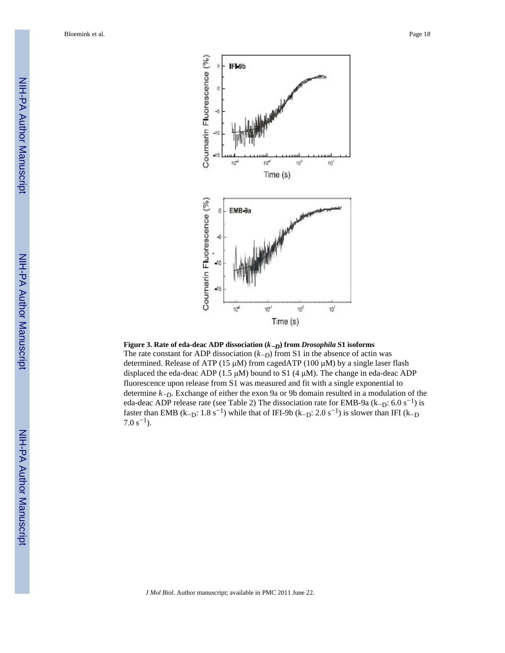

#### **Figure 3. Rate of eda-deac ADP dissociation (***k*畊*D***) from** *Drosophila* **S1 isoforms**

The rate constant for ADP dissociation  $(k-p)$  from S1 in the absence of actin was determined. Release of ATP (15  $\mu$ M) from cagedATP (100  $\mu$ M) by a single laser flash displaced the eda-deac ADP (1.5  $\mu$ M) bound to S1 (4  $\mu$ M). The change in eda-deac ADP fluorescence upon release from S1 was measured and fit with a single exponential to determine  $k$ <sub>-D</sub>. Exchange of either the exon 9a or 9b domain resulted in a modulation of the eda-deac ADP release rate (see Table 2) The dissociation rate for EMB-9a (k<sub>-D</sub>:  $6.0 \text{ s}^{-1}$ ) is faster than EMB (k<sub>-D</sub>: 1.8 s<sup>-1</sup>) while that of IFI-9b (k<sub>-D</sub>: 2.0 s<sup>-1</sup>) is slower than IFI (k<sub>-D</sub>)  $7.0 s^{-1}$ ).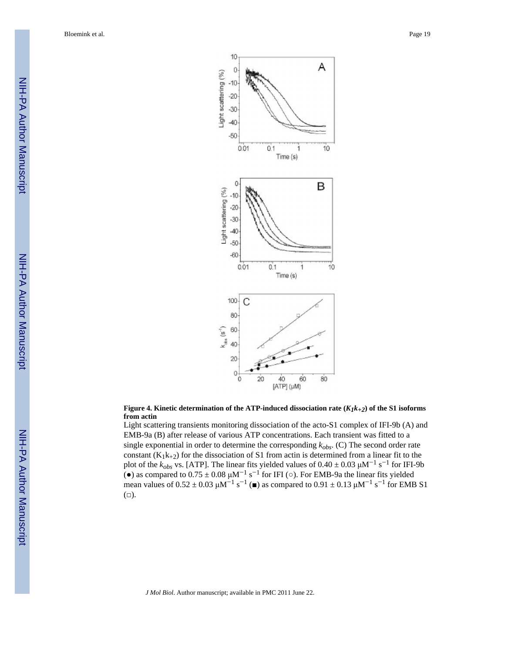

#### **Figure 4. Kinetic determination of the ATP-induced dissociation rate (***K1k+2***) of the S1 isoforms from actin**

Light scattering transients monitoring dissociation of the acto-S1 complex of IFI-9b (A) and EMB-9a (B) after release of various ATP concentrations. Each transient was fitted to a single exponential in order to determine the corresponding *kobs*. (C) The second order rate constant  $(K_1k_{+2})$  for the dissociation of S1 from actin is determined from a linear fit to the plot of the  $k_{obs}$  vs. [ATP]. The linear fits yielded values of  $0.40 \pm 0.03 \mu M^{-1} s^{-1}$  for IFI-9b (•) as compared to  $0.75 \pm 0.08 \mu M^{-1} s^{-1}$  for IFI ( $\circ$ ). For EMB-9a the linear fits yielded mean values of  $0.52 \pm 0.03 \mu M^{-1} s^{-1}$  ( $\bullet$ ) as compared to  $0.91 \pm 0.13 \mu M^{-1} s^{-1}$  for EMB S1  $(\Box).$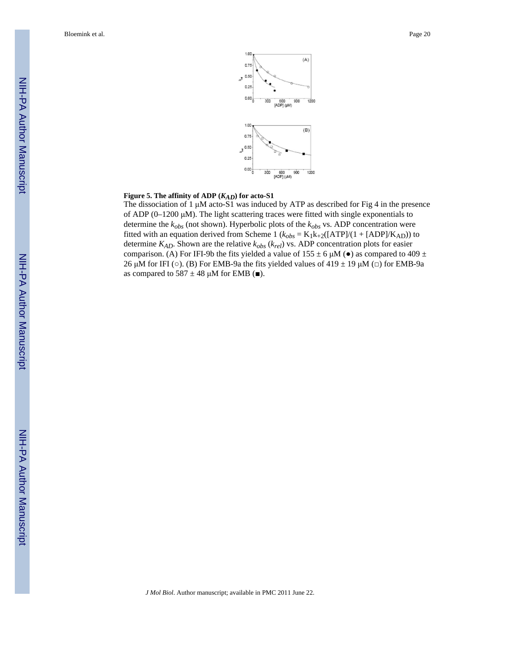

#### **Figure 5. The affinity of ADP (***KAD***) for acto-S1**

The dissociation of 1  $\mu$ M acto-S1 was induced by ATP as described for Fig 4 in the presence of ADP ( $0-1200 \mu M$ ). The light scattering traces were fitted with single exponentials to determine the *kobs* (not shown). Hyperbolic plots of the *kobs* vs. ADP concentration were fitted with an equation derived from Scheme 1 ( $k_{obs} = K_1k_{+2}([ATP]/(1 + [ADP]/K_{AD}))$  to determine *KAD*. Shown are the relative *kobs* (*krel*) vs. ADP concentration plots for easier comparison. (A) For IFI-9b the fits yielded a value of  $155 \pm 6 \mu M$  ( $\bullet$ ) as compared to 409  $\pm$ 26 μM for IFI ( $\circ$ ). (B) For EMB-9a the fits yielded values of 419  $\pm$  19 μM ( $\Box$ ) for EMB-9a as compared to  $587 \pm 48 \mu M$  for EMB ( $\blacksquare$ ).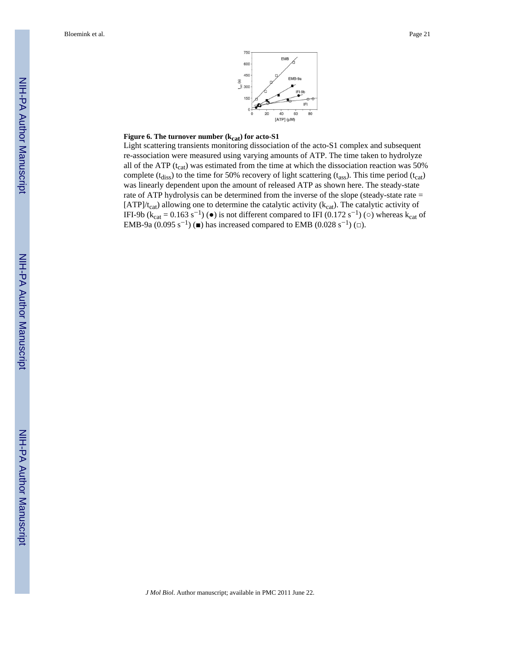

#### **Figure 6. The turnover number (** $k_{cat}$ **) for acto-S1**

Light scattering transients monitoring dissociation of the acto-S1 complex and subsequent re-association were measured using varying amounts of ATP. The time taken to hydrolyze all of the ATP  $(t_{cat})$  was estimated from the time at which the dissociation reaction was 50% complete ( $t_{\text{diss}}$ ) to the time for 50% recovery of light scattering ( $t_{\text{ass}}$ ). This time period ( $t_{\text{cat}}$ ) was linearly dependent upon the amount of released ATP as shown here. The steady-state rate of ATP hydrolysis can be determined from the inverse of the slope (steady-state rate =  $[ATP]/t_{cat}$ ) allowing one to determine the catalytic activity ( $k_{cat}$ ). The catalytic activity of IFI-9b ( $k_{cat} = 0.163 s^{-1}$ ) ( $\bullet$ ) is not different compared to IFI (0.172 s<sup>-1</sup>) ( $\circ$ ) whereas  $k_{cat}$  of EMB-9a (0.095 s<sup>-1</sup>) ( $\blacksquare$ ) has increased compared to EMB (0.028 s<sup>-1</sup>) ( $\Box$ ).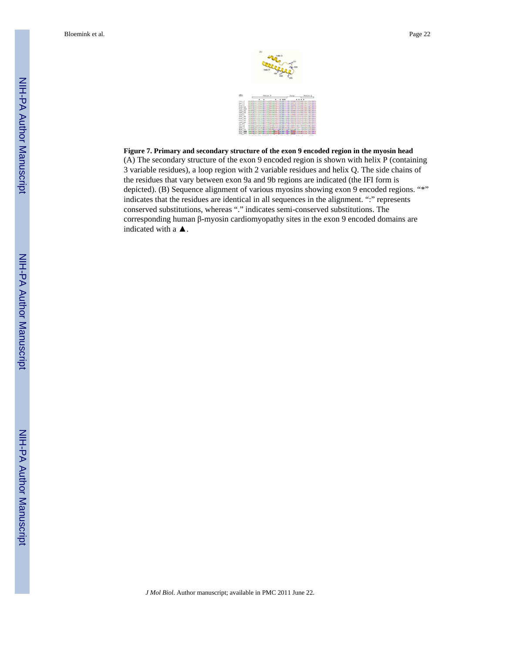

**Figure 7. Primary and secondary structure of the exon 9 encoded region in the myosin head** (A) The secondary structure of the exon 9 encoded region is shown with helix P (containing 3 variable residues), a loop region with 2 variable residues and helix Q. The side chains of the residues that vary between exon 9a and 9b regions are indicated (the IFI form is depicted). (B) Sequence alignment of various myosins showing exon 9 encoded regions. "\*" indicates that the residues are identical in all sequences in the alignment. ":" represents conserved substitutions, whereas "." indicates semi-conserved substitutions. The corresponding human  $\beta$ -myosin cardiomyopathy sites in the exon 9 encoded domains are indicated with a  $\blacktriangle$ .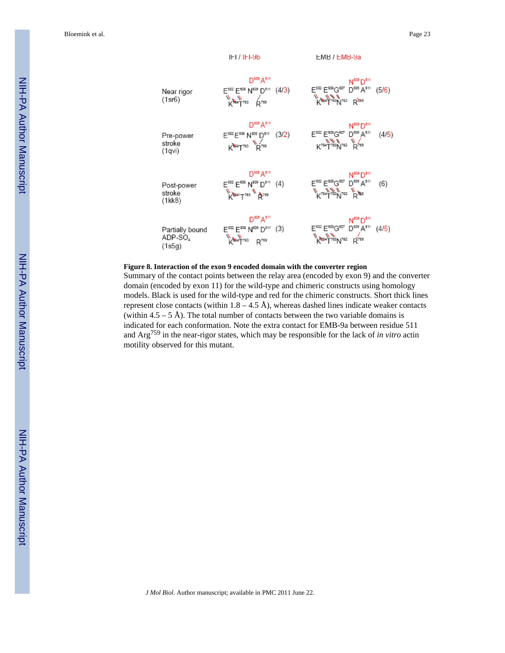

#### **Figure 8. Interaction of the exon 9 encoded domain with the converter region**

Summary of the contact points between the relay area (encoded by exon 9) and the converter domain (encoded by exon 11) for the wild-type and chimeric constructs using homology models. Black is used for the wild-type and red for the chimeric constructs. Short thick lines represent close contacts (within  $1.8 - 4.5 \text{ Å}$ ), whereas dashed lines indicate weaker contacts (within  $4.5 - 5$  Å). The total number of contacts between the two variable domains is indicated for each conformation. Note the extra contact for EMB-9a between residue 511 and Arg759 in the near-rigor states, which may be responsible for the lack of *in vitro* actin motility observed for this mutant.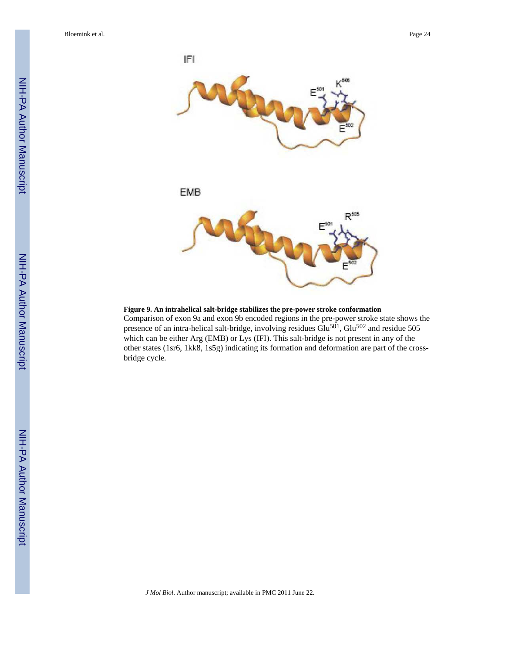

**Figure 9. An intrahelical salt-bridge stabilizes the pre-power stroke conformation**

Comparison of exon 9a and exon 9b encoded regions in the pre-power stroke state shows the presence of an intra-helical salt-bridge, involving residues  $Glu<sup>501</sup>$ ,  $Glu<sup>502</sup>$  and residue 505 which can be either Arg (EMB) or Lys (IFI). This salt-bridge is not present in any of the other states (1sr6, 1kk8, 1s5g) indicating its formation and deformation are part of the crossbridge cycle.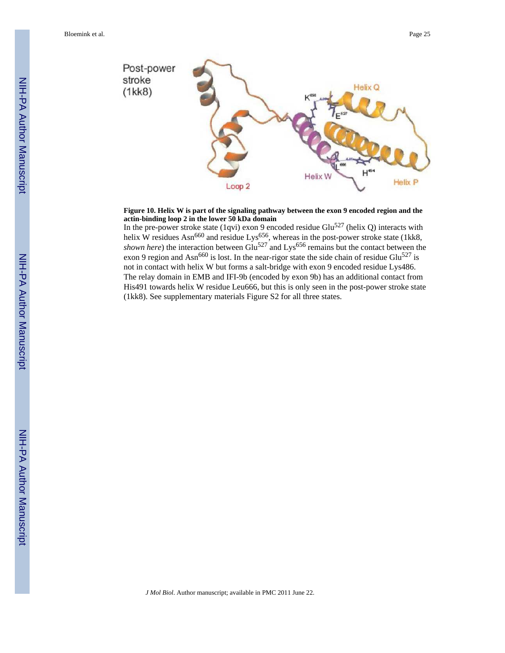

#### **Figure 10. Helix W is part of the signaling pathway between the exon 9 encoded region and the actin-binding loop 2 in the lower 50 kDa domain**

In the pre-power stroke state (1qvi) exon 9 encoded residue Glu<sup>527</sup> (helix Q) interacts with helix W residues Asn<sup>660</sup> and residue Lys<sup>656</sup>, whereas in the post-power stroke state (1kk8, *shown here*) the interaction between Glu<sup>527</sup> and Lys<sup>656</sup> remains but the contact between the exon 9 region and Asn<sup>660</sup> is lost. In the near-rigor state the side chain of residue Glu<sup>527</sup> is not in contact with helix W but forms a salt-bridge with exon 9 encoded residue Lys486. The relay domain in EMB and IFI-9b (encoded by exon 9b) has an additional contact from His491 towards helix W residue Leu666, but this is only seen in the post-power stroke state (1kk8). See supplementary materials Figure S2 for all three states.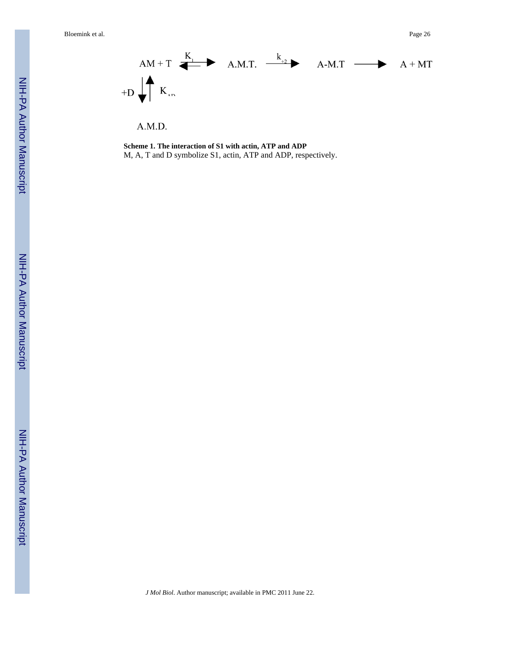

**Scheme 1. The interaction of S1 with actin, ATP and ADP** M, A, T and D symbolize S1, actin, ATP and ADP, respectively.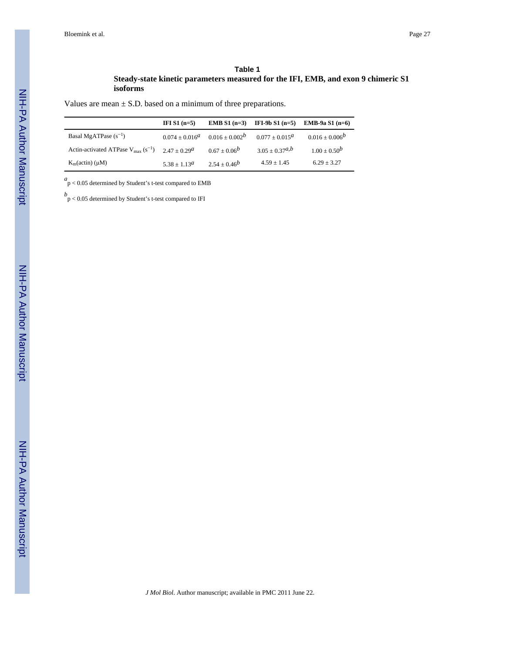#### **Table 1**

#### **Steady-state kinetic parameters measured for the IFI, EMB, and exon 9 chimeric S1 isoforms**

Values are mean  $\pm$  S.D. based on a minimum of three preparations.

|                                                                                 | IFI $S1$ (n=5)      |                     | <b>EMB</b> S1 $(n=3)$ <b>IFI-9b</b> S1 $(n=5)$ | <b>EMB-9a S1</b> $(n=6)$ |
|---------------------------------------------------------------------------------|---------------------|---------------------|------------------------------------------------|--------------------------|
| Basal MgATPase $(s^{-1})$                                                       | $0.074 \pm 0.016^a$ | $0.016 \pm 0.002^b$ | $0.077 + 0.015^a$                              | $0.016 \pm 0.006^b$      |
| Actin-activated ATPase $V_{\text{max}}(s^{-1})$ 2.47 + 0.29 <sup><i>a</i></sup> |                     | $0.67 + 0.06^b$     | $3.05 \pm 0.37^{a,b}$                          | $1.00 \pm 0.50^b$        |
| $K_m(\text{actin})$ ( $\mu$ M)                                                  | $5.38 + 1.13^a$     | $2.54 + 0.46^b$     | $4.59 + 1.45$                                  | $6.29 + 3.27$            |

 $a$ <sub>p</sub> $< 0.05$  determined by Student's t-test compared to EMB

*b* p < 0.05 determined by Student's t-test compared to IFI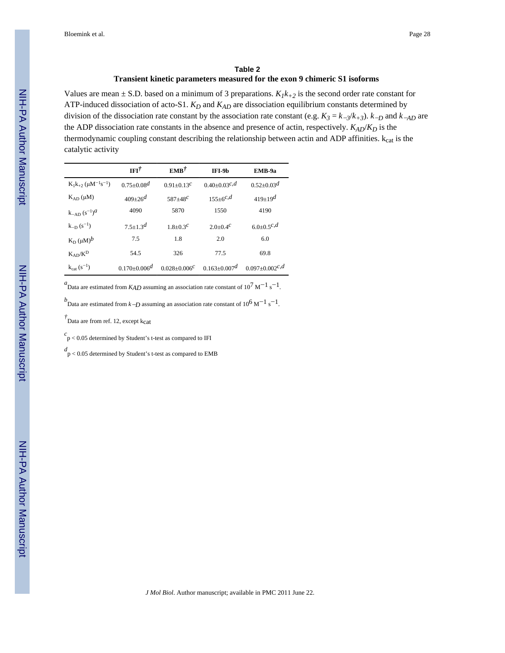#### **Table 2 Transient kinetic parameters measured for the exon 9 chimeric S1 isoforms**

Values are mean  $\pm$  S.D. based on a minimum of 3 preparations.  $K_I k_{+2}$  is the second order rate constant for ATP-induced dissociation of acto-S1. *KD* and *KAD* are dissociation equilibrium constants determined by division of the dissociation rate constant by the association rate constant (e.g.  $K_3 = k_{-3}/k_{+3}$ ).  $k_{-D}$  and  $k_{-AD}$  are the ADP dissociation rate constants in the absence and presence of actin, respectively. *KAD*/*KD* is the thermodynamic coupling constant describing the relationship between actin and ADP affinities.  $k_{cat}$  is the catalytic activity

|                                                       | $IFI^{\dagger}$                | $EMB^{\dagger}$     | IFI-9b                         | EMB-9a                       |
|-------------------------------------------------------|--------------------------------|---------------------|--------------------------------|------------------------------|
| $K_1k_{+2}$ ( $\mu$ M <sup>-1</sup> s <sup>-1</sup> ) | $0.75 + 0.08d$                 | $0.91 + 0.13^{c}$   | $0.40 \pm 0.03$ <sup>c,d</sup> | $0.52 \pm 0.03$ <sup>d</sup> |
| $K_{AD}(\mu M)$                                       | $409 \pm 26^d$                 | $587 + 48^{c}$      | $155 \pm 6^{c,d}$              | $419 \pm 19^d$               |
| $k_{-AD}$ $(s^{-1})^d$                                | 4090                           | 5870                | 1550                           | 4190                         |
| $k_{-D}(s^{-1})$                                      | $7.5 \pm 1.3$ <sup>d</sup>     | $1.8 + 0.3c$        | 2.0+0.4 <sup>c</sup>           | $6.0 \pm 0.5$ c,d            |
| $K_D (\mu M)^b$                                       | 7.5                            | 1.8                 | 2.0                            | 6.0                          |
| $K_{AD}/K^D$                                          | 54.5                           | 326                 | 77.5                           | 69.8                         |
| $k_{cat} (s^{-1})$                                    | $0.170 \pm 0.006$ <sup>d</sup> | $0.028 + 0.006^{c}$ | $0.163 + 0.007d$               | $0.097 \pm 0.002^{c,d}$      |

 ${}^{a}$ Data are estimated from *K<sub>AD</sub>* assuming an association rate constant of 10<sup>7</sup> M<sup>-1</sup> s<sup>-1</sup>.

 $^{b}$ Data are estimated from *k* $-D$  assuming an association rate constant of 10<sup>6</sup> M<sup>-1</sup> s<sup>-1</sup>.

<sup>†</sup> Data are from ref. 12, except k<sub>cat</sub>

 $c$ p < 0.05 determined by Student's t-test as compared to IFI

*d* p < 0.05 determined by Student's t-test as compared to EMB

NIH-PA Author Manuscript

NIH-PA Actroscript